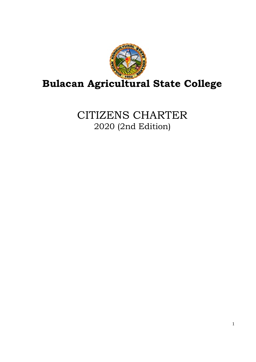

CITIZENS CHARTER 2020 (2nd Edition)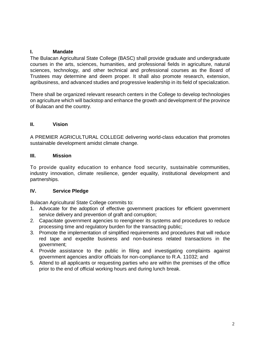### **I. Mandate**

The Bulacan Agricultural State College (BASC) shall provide graduate and undergraduate courses in the arts, sciences, humanities, and professional fields in agriculture, natural sciences, technology, and other technical and professional courses as the Board of Trustees may determine and deem proper. It shall also promote research, extension, agribusiness, and advanced studies and progressive leadership in its field of specialization.

There shall be organized relevant research centers in the College to develop technologies on agriculture which will backstop and enhance the growth and development of the province of Bulacan and the country.

#### **II. Vision**

A PREMIER AGRICULTURAL COLLEGE delivering world-class education that promotes sustainable development amidst climate change.

#### **III. Mission**

To provide quality education to enhance food security, sustainable communities, industry innovation, climate resilience, gender equality, institutional development and partnerships.

#### **IV. Service Pledge**

Bulacan Agricultural State College commits to:

- 1. Advocate for the adoption of effective government practices for efficient government service delivery and prevention of graft and corruption;
- 2. Capacitate government agencies to reengineer its systems and procedures to reduce processing time and regulatory burden for the transacting public;
- 3. Promote the implementation of simplified requirements and procedures that will reduce red tape and expedite business and non-business related transactions in the government;
- 4. Provide assistance to the public in filing and investigating complaints against government agencies and/or officials for non-compliance to R.A. 11032; and
- 5. Attend to all applicants or requesting parties who are within the premises of the office prior to the end of official working hours and during lunch break.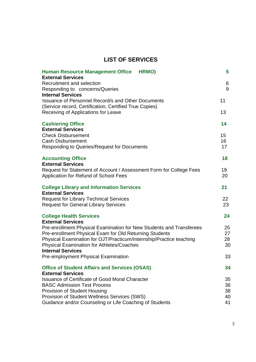# **LIST OF SERVICES**

| <b>Human Resource Management Office HRMO)</b>                                                                           | 5        |
|-------------------------------------------------------------------------------------------------------------------------|----------|
| <b>External Services</b><br>Recruitment and selection<br>Responding to concerns/Queries                                 | 6<br>9   |
| <b>Internal Services</b><br><b>Issuance of Personnel Record/s and Other Documents</b>                                   | 11       |
| (Service record, Certification, Certified True Copies)<br>Receiving of Applications for Leave                           | 13       |
| <b>Cashiering Office</b><br><b>External Services</b>                                                                    | 14       |
| <b>Check Disbursement</b>                                                                                               | 15       |
| <b>Cash Disbursement</b>                                                                                                | 16       |
| <b>Responding to Queries/Request for Documents</b>                                                                      | 17       |
| <b>Accounting Office</b>                                                                                                | 18       |
| <b>External Services</b>                                                                                                |          |
| Request for Statement of Account / Assessment Form for College Fees<br>Application for Refund of School Fees            | 19<br>20 |
| <b>College Library and Information Services</b><br><b>External Services</b>                                             | 21       |
| <b>Request for Library Technical Services</b>                                                                           | 22       |
| <b>Request for General Library Services</b>                                                                             | 23       |
| <b>College Health Services</b>                                                                                          | 24       |
| <b>External Services</b>                                                                                                |          |
| Pre-enrollment Physical Examination for New Students and Transferees                                                    | 25       |
| Pre-enrollment Physical Exam for Old Returning Students                                                                 | 27       |
| Physical Examination for OJT/Practicum/Internship/Practice teaching<br><b>Physical Examination for Athletes/Coaches</b> | 28<br>30 |
| <b>Internal Services</b>                                                                                                |          |
| Pre-employment Physical Examination                                                                                     | 33       |
| <b>Office of Student Affairs and Services (OSAS)</b>                                                                    | 34       |
| <b>External Services</b>                                                                                                |          |
| <b>Issuance of Certificate of Good Moral Character</b>                                                                  | 35       |
| <b>BASC Admission Test Process</b>                                                                                      | 36       |
| Provision of Student Housing                                                                                            | 38       |
| Provision of Student Wellness Services (SWS)<br>Guidance and/or Counseling or Life Coaching of Students                 | 40<br>41 |
|                                                                                                                         |          |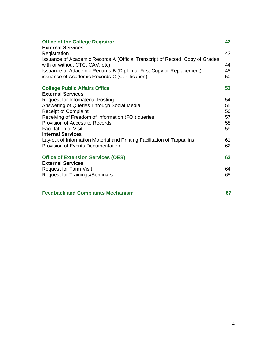| <b>Office of the College Registrar</b><br><b>External Services</b>                            | 42 |
|-----------------------------------------------------------------------------------------------|----|
| Registration<br>Issuance of Academic Records A (Official Transcript of Record, Copy of Grades | 43 |
| with or without CTC, CAV, etc)                                                                | 44 |
| Issuance of Adacemic Records B (Diploma; First Copy or Replacement)                           | 48 |
| issuance of Academic Records C (Certification)                                                | 50 |
| <b>College Public Affairs Office</b>                                                          | 53 |
| <b>External Services</b>                                                                      |    |
| <b>Request for Infomaterial Posting</b>                                                       | 54 |
| Answering of Queries Through Social Media                                                     | 55 |
| <b>Receipt of Complaint</b>                                                                   | 56 |
| Receiving of Freedom of Information (FOI) queries                                             | 57 |
| Provision of Access to Records                                                                | 58 |
| <b>Facilitation of Visit</b>                                                                  | 59 |
| <b>Internal Services</b>                                                                      |    |
| Lay-out of Information Material and Printing Facilitation of Tarpaulins                       | 61 |
| <b>Provision of Events Documentation</b>                                                      | 62 |
| <b>Office of Extension Services (OES)</b>                                                     | 63 |
| <b>External Services</b>                                                                      |    |
| <b>Request for Farm Visit</b>                                                                 | 64 |
| <b>Request for Trainings/Seminars</b>                                                         | 65 |
| <b>Feedback and Complaints Mechanism</b>                                                      | 67 |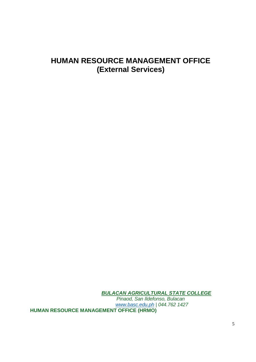# **HUMAN RESOURCE MANAGEMENT OFFICE (External Services)**

*BULACAN AGRICULTURAL STATE COLLEGE Pinaod, San Ildefonso, Bulacan www.basc.edu.ph | 044.762 1427* **HUMAN RESOURCE MANAGEMENT OFFICE (HRMO)**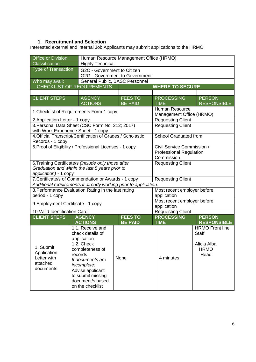# **1. Recruitment and Selection**

Interested external and internal Job Applicants may submit applications to the HRMO.

| Office or Division:                                                                                                             |                                                                                                                                                                                                                     | Human Resource Management Office (HRMO)                       |                                                                            |                                                                              |  |  |
|---------------------------------------------------------------------------------------------------------------------------------|---------------------------------------------------------------------------------------------------------------------------------------------------------------------------------------------------------------------|---------------------------------------------------------------|----------------------------------------------------------------------------|------------------------------------------------------------------------------|--|--|
| <b>Classification:</b>                                                                                                          | <b>Highly Technical</b>                                                                                                                                                                                             |                                                               |                                                                            |                                                                              |  |  |
| <b>Type of Transaction</b>                                                                                                      |                                                                                                                                                                                                                     | G2C - Government to Citizen<br>G2G - Government to Government |                                                                            |                                                                              |  |  |
| Who may avail:                                                                                                                  |                                                                                                                                                                                                                     | General Public, BASC Personnel                                |                                                                            |                                                                              |  |  |
|                                                                                                                                 | <b>CHECKLIST OF REQUIREMENTS</b>                                                                                                                                                                                    |                                                               | <b>WHERE TO SECURE</b>                                                     |                                                                              |  |  |
|                                                                                                                                 |                                                                                                                                                                                                                     |                                                               |                                                                            |                                                                              |  |  |
| <b>CLIENT STEPS</b>                                                                                                             | <b>AGENCY</b><br><b>ACTIONS</b>                                                                                                                                                                                     | <b>FEES TO</b><br><b>BE PAID</b>                              | <b>PROCESSING</b><br><b>TIME</b>                                           | <b>PERSON</b><br><b>RESPONSIBLE</b>                                          |  |  |
|                                                                                                                                 | 1. Checklist of Requirements Form-1 copy                                                                                                                                                                            |                                                               | <b>Human Resource</b><br>Management Office (HRMO)                          |                                                                              |  |  |
| 2. Application Letter - 1 copy                                                                                                  |                                                                                                                                                                                                                     |                                                               | <b>Requesting Client</b>                                                   |                                                                              |  |  |
|                                                                                                                                 | 3. Personal Data Sheet (CSC Form No. 212; 2017)<br>with Work Experience Sheet - 1 copy                                                                                                                              |                                                               | <b>Requesting Client</b>                                                   |                                                                              |  |  |
| Records - 1 copy                                                                                                                | 4. Official Transcript/Certification of Grades / Scholastic                                                                                                                                                         |                                                               | <b>School Graduated from</b>                                               |                                                                              |  |  |
|                                                                                                                                 | 5. Proof of Eligibility / Professional Licenses - 1 copy                                                                                                                                                            |                                                               | Civil Service Commission /<br><b>Professional Regulation</b><br>Commission |                                                                              |  |  |
| 6. Training Certificate/s (include only those after<br>Graduation and within the last 5 years prior to<br>application) - 1 copy |                                                                                                                                                                                                                     |                                                               | <b>Requesting Client</b>                                                   |                                                                              |  |  |
|                                                                                                                                 | 7. Certificate/s of Commendation or Awards - 1 copy                                                                                                                                                                 |                                                               | <b>Requesting Client</b>                                                   |                                                                              |  |  |
|                                                                                                                                 | Additional requirements if already working prior to application:                                                                                                                                                    |                                                               |                                                                            |                                                                              |  |  |
| period - 1 copy                                                                                                                 | 8. Performance Evaluation Rating in the last rating                                                                                                                                                                 |                                                               | Most recent employer before<br>application                                 |                                                                              |  |  |
| 9. Employment Certificate - 1 copy                                                                                              |                                                                                                                                                                                                                     |                                                               | Most recent employer before<br>application                                 |                                                                              |  |  |
| 10. Valid Identification Card                                                                                                   |                                                                                                                                                                                                                     |                                                               | <b>Requesting Client</b>                                                   |                                                                              |  |  |
| <b>CLIENT STEPS</b>                                                                                                             | <b>AGENCY</b>                                                                                                                                                                                                       | <b>FEES TO</b>                                                | <b>PROCESSING</b>                                                          | <b>PERSON</b>                                                                |  |  |
|                                                                                                                                 | <b>ACTIONS</b>                                                                                                                                                                                                      | <b>BE PAID</b>                                                | <b>TIME</b>                                                                | <b>RESPONSIBLE</b>                                                           |  |  |
| 1. Submit<br>Application<br>Letter with<br>attached<br>documents                                                                | 1.1. Receive and<br>check details of<br>application<br>1.2. Check<br>completeness of<br>records<br>If documents are<br>incomplete:<br>Advise applicant<br>to submit missing<br>document/s based<br>on the checklist | None                                                          | 4 minutes                                                                  | <b>HRMO</b> Front line<br><b>Staff</b><br>Alicia Alba<br><b>HRMO</b><br>Head |  |  |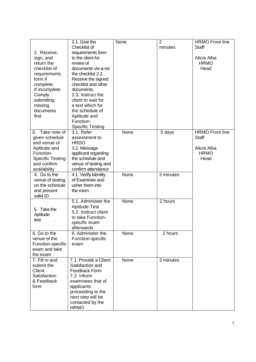|                         | 2.1. Give the           | None | 2         | <b>HRMO Front line</b> |
|-------------------------|-------------------------|------|-----------|------------------------|
|                         | Checklist of            |      | minutes   | <b>Staff</b>           |
| 2. Receive,             | requirements form       |      |           |                        |
| sign, and               | to the client for       |      |           | Alicia Alba            |
| return the              | review of               |      |           | <b>HRMO</b>            |
| checklist of            | documents vis-a-vis     |      |           | Head                   |
| requirements            | the checklist 2.2.      |      |           |                        |
| form if                 | Receive the signed      |      |           |                        |
| complete.               | checklist and other     |      |           |                        |
| If incomplete:          | documents.              |      |           |                        |
| Comply                  | 2.3. Instruct the       |      |           |                        |
| submitting              | client to wait for      |      |           |                        |
| missing                 | a text which for        |      |           |                        |
| documents               | the schedule of         |      |           |                        |
| first                   | Aptitude and            |      |           |                        |
|                         | Function-               |      |           |                        |
|                         | <b>Specific Testing</b> |      |           |                        |
| 3. Take note of         | 3.1. Refer              | None | 5 days    | <b>HRMO Front line</b> |
| given schedule          | assessment to           |      |           | <b>Staff</b>           |
| and venue of            | <b>HRDO</b>             |      |           |                        |
| Aptitude and            | 3.2. Message            |      |           | Alicia Alba            |
| Function-               | applicant regarding     |      |           | <b>HRMO</b>            |
| <b>Specific Testing</b> | the schedule and        |      |           | Head                   |
| and confirm             | venue of testing and    |      |           |                        |
| availability            | confirm attendance      |      |           |                        |
| 4. Go to the            | 4.1. Verify identity    | None | 2 minutes |                        |
| venue of testing        | of Examinee and         |      |           |                        |
| on the schedule         | usher them into         |      |           |                        |
| and present             | the room                |      |           |                        |
| valid ID                |                         |      |           |                        |
|                         | 5.1. Administer the     | None | 2 hours   |                        |
|                         | <b>Aptitude Test</b>    |      |           |                        |
| 5. Take the             | 5.2. Instruct client    |      |           |                        |
| Aptitude                | to take Function-       |      |           |                        |
| test                    | specific exam           |      |           |                        |
|                         | afterwards              |      |           |                        |
| 6. Go to the            | 6. Administer the       | None | 2 hours   |                        |
| venue of the            | Function-specific       |      |           |                        |
| Function-specific       | exam                    |      |           |                        |
| exam and take           |                         |      |           |                        |
| the exam                |                         |      |           |                        |
| 7. Fill in and          | 7.1. Provide a Client   | None | 3 minutes |                        |
| submit the              | Satisfaction and        |      |           |                        |
| Client                  | Feedback Form           |      |           |                        |
| Satisfaction            | 7.2. Inform             |      |           |                        |
| & Feedback              | examinees that of       |      |           |                        |
| form                    | applicants              |      |           |                        |
|                         | proceeding to the       |      |           |                        |
|                         | next step will be       |      |           |                        |
|                         | contacted by the        |      |           |                        |
|                         | <b>HRMO</b>             |      |           |                        |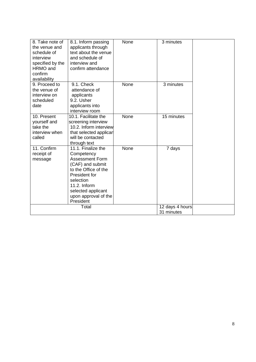| 8. Take note of<br>the venue and<br>schedule of<br>interview<br>specified by the<br>HRMO and<br>confirm<br>availability | 8.1. Inform passing<br>applicants through<br>text about the venue<br>and schedule of<br>interview and<br>confirm attendance                                                                                     | None | 3 minutes                     |  |
|-------------------------------------------------------------------------------------------------------------------------|-----------------------------------------------------------------------------------------------------------------------------------------------------------------------------------------------------------------|------|-------------------------------|--|
| 9. Proceed to<br>the venue of<br>interview on<br>scheduled<br>date                                                      | 9.1. Check<br>attendance of<br>applicants<br>9.2. Usher<br>applicants into<br>interview room                                                                                                                    | None | 3 minutes                     |  |
| 10. Present<br>yourself and<br>take the<br>interview when<br>called                                                     | 10.1. Facilitate the<br>screening interview<br>10.2. Inform interview<br>that selected applicar<br>will be contacted<br>through text                                                                            | None | 15 minutes                    |  |
| 11. Confirm<br>receipt of<br>message                                                                                    | 11.1. Finalize the<br>Competency<br><b>Assessment Form</b><br>(CAF) and submit<br>to the Office of the<br>President for<br>selection<br>11.2. Inform<br>selected applicant<br>upon approval of the<br>President | None | 7 days                        |  |
|                                                                                                                         | Total                                                                                                                                                                                                           |      | 12 days 4 hours<br>31 minutes |  |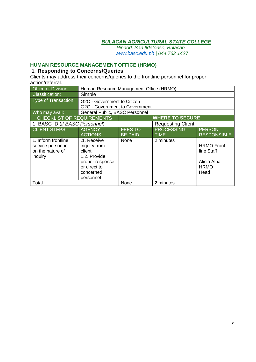*Pinaod, San Ildefonso, Bulacan www.basc.edu.ph | 044.762 1427*

# **HUMAN RESOURCE MANAGEMENT OFFICE (HRMO)**

# **1. Responding to Concerns/Queries**

Clients may address their concerns/queries to the frontline personnel for proper action/referral.

| <b>Office or Division:</b>                                              |                                                                                                                    | Human Resource Management Office (HRMO) |                                  |                                                                       |  |
|-------------------------------------------------------------------------|--------------------------------------------------------------------------------------------------------------------|-----------------------------------------|----------------------------------|-----------------------------------------------------------------------|--|
| <b>Classification:</b>                                                  | Simple                                                                                                             |                                         |                                  |                                                                       |  |
| Type of Transaction                                                     | G2C - Government to Citizen<br>G2G - Government to Government                                                      |                                         |                                  |                                                                       |  |
| Who may avail:                                                          | General Public, BASC Personnel                                                                                     |                                         |                                  |                                                                       |  |
| <b>CHECKLIST OF REQUIREMENTS</b>                                        |                                                                                                                    |                                         | <b>WHERE TO SECURE</b>           |                                                                       |  |
| 1. BASC ID (if BASC Personnel)                                          |                                                                                                                    |                                         | <b>Requesting Client</b>         |                                                                       |  |
| <b>CLIENT STEPS</b>                                                     | <b>AGENCY</b><br><b>ACTIONS</b>                                                                                    | <b>FEES TO</b><br><b>BE PAID</b>        | <b>PROCESSING</b><br><b>TIME</b> | <b>PERSON</b><br><b>RESPONSIBLE</b>                                   |  |
| 1. Inform frontline<br>service personnel<br>on the nature of<br>inquiry | .1. Receive<br>inquiry from<br>client<br>1.2. Provide<br>proper response<br>or direct to<br>concerned<br>personnel | None                                    | 2 minutes                        | <b>HRMO Front</b><br>line Staff<br>Alicia Alba<br><b>HRMO</b><br>Head |  |
| Total                                                                   |                                                                                                                    | None                                    | 2 minutes                        |                                                                       |  |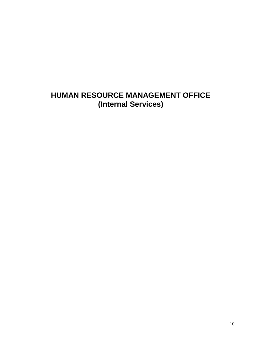# **HUMAN RESOURCE MANAGEMENT OFFICE (Internal Services)**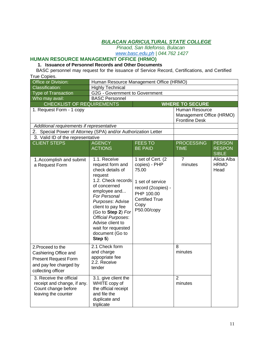*Pinaod, San Ildefonso, Bulacan*

*www.basc.edu.ph | 044.762 1427*

# **HUMAN RESOURCE MANAGEMENT OFFICE (HRMO)**

#### **1. Issuance of Personnel Records and Other Documents**

BASC personnel may request for the issuance of Service Record, Certifications, and Certified True Copies.

| Office or Division:                                                                                                       |                                                                                                                                                                                                                                                                                                                  | Human Resource Management Office (HRMO)                                                                                                             |                                                                            |                                    |  |
|---------------------------------------------------------------------------------------------------------------------------|------------------------------------------------------------------------------------------------------------------------------------------------------------------------------------------------------------------------------------------------------------------------------------------------------------------|-----------------------------------------------------------------------------------------------------------------------------------------------------|----------------------------------------------------------------------------|------------------------------------|--|
| <b>Classification:</b>                                                                                                    | <b>Highly Technical</b>                                                                                                                                                                                                                                                                                          |                                                                                                                                                     |                                                                            |                                    |  |
| <b>Type of Transaction</b>                                                                                                |                                                                                                                                                                                                                                                                                                                  | G2G - Government to Government                                                                                                                      |                                                                            |                                    |  |
| Who may avail:                                                                                                            | <b>BASC Personnel</b>                                                                                                                                                                                                                                                                                            |                                                                                                                                                     |                                                                            |                                    |  |
| <b>CHECKLIST OF REQUIREMENTS</b>                                                                                          |                                                                                                                                                                                                                                                                                                                  |                                                                                                                                                     | <b>WHERE TO SECURE</b>                                                     |                                    |  |
| 1. Request Form - 1 copy                                                                                                  |                                                                                                                                                                                                                                                                                                                  |                                                                                                                                                     | <b>Human Resource</b><br>Management Office (HRMO)<br><b>Frontline Desk</b> |                                    |  |
| Additional requirements if representative                                                                                 |                                                                                                                                                                                                                                                                                                                  |                                                                                                                                                     |                                                                            |                                    |  |
| 2. Special Power of Attorney (SPA) and/or Authorization Letter                                                            |                                                                                                                                                                                                                                                                                                                  |                                                                                                                                                     |                                                                            |                                    |  |
| 3. Valid ID of the representative                                                                                         |                                                                                                                                                                                                                                                                                                                  |                                                                                                                                                     |                                                                            |                                    |  |
| <b>CLIENT STEPS</b>                                                                                                       | <b>AGENCY</b>                                                                                                                                                                                                                                                                                                    | <b>FEES TO</b>                                                                                                                                      | <b>PROCESSING</b>                                                          | <b>PERSON</b>                      |  |
|                                                                                                                           | <b>ACTIONS</b>                                                                                                                                                                                                                                                                                                   | <b>BE PAID</b>                                                                                                                                      | <b>TIME</b>                                                                | <b>RESPON</b><br><b>SIBLE</b>      |  |
| 1. Accomplish and submit<br>a Request Form                                                                                | 1.1. Receive<br>request form and<br>check details of<br>request<br>1.2. Check records<br>of concerned<br>employee and<br><b>For Personal</b><br>Purposes: Advise<br>client to pay fee<br>(Go to Step 2) For<br><b>Official Purposes:</b><br>Advise client to<br>wait for requested<br>document (Go to<br>Step 5) | 1 set of Cert. (2<br>copies) - PHP<br>75.00<br>1 set of service<br>record (2copies) -<br>PHP 100.00<br><b>Certified True</b><br>Copy<br>P50.00/copy | 7<br>minutes                                                               | Alicia Alba<br><b>HRMO</b><br>Head |  |
| 2. Proceed to the<br>Cashiering Office and<br><b>Present Request Form</b><br>and pay fee charged by<br>collecting officer | 2.1 Check form<br>and charge<br>appopriate fee<br>2.2. Receive<br>tender                                                                                                                                                                                                                                         |                                                                                                                                                     | 8<br>minutes                                                               |                                    |  |
| 3. Receive the official<br>receipt and change, if any.<br>Count change before<br>leaving the counter                      | 3.1. give client the<br>WHITE copy of<br>the official receipt<br>and file the<br>duplicate and<br>triplicate                                                                                                                                                                                                     |                                                                                                                                                     | $\overline{2}$<br>minutes                                                  |                                    |  |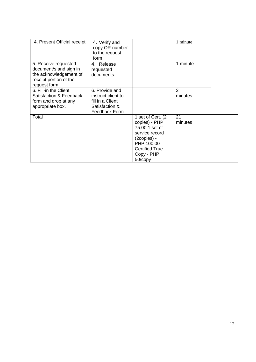| 4. Present Official receipt                                                                                         | 4. Verify and<br>copy OR number<br>to the request<br>form                                   |                                                                                                                                                       | 1 minute      |  |
|---------------------------------------------------------------------------------------------------------------------|---------------------------------------------------------------------------------------------|-------------------------------------------------------------------------------------------------------------------------------------------------------|---------------|--|
| 5. Receive requested<br>document/s and sign in<br>the acknowledgement of<br>receipt portion of the<br>request form. | 4. Release<br>requested<br>documents.                                                       |                                                                                                                                                       | 1 minute      |  |
| 6. Fill-in the Client<br>Satisfaction & Feedback<br>form and drop at any<br>appropriate box.                        | 6. Provide and<br>instruct client to<br>fill in a Client<br>Satisfaction &<br>Feedback Form |                                                                                                                                                       | 2<br>minutes  |  |
| Total                                                                                                               |                                                                                             | 1 set of Cert. (2<br>copies) - PHP<br>75.00 1 set of<br>service record<br>(2copies) -<br>PHP 100.00<br><b>Certified True</b><br>Copy - PHP<br>50/copy | 21<br>minutes |  |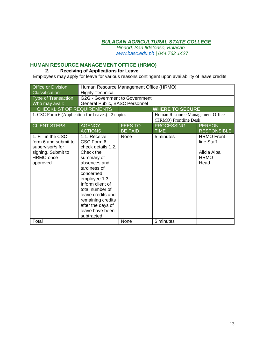*Pinaod, San Ildefonso, Bulacan www.basc.edu.ph | 044.762 1427*

# **HUMAN RESOURCE MANAGEMENT OFFICE (HRMO)**

### **2. Receiving of Applications for Leave**

Employees may apply for leave for various reasons contingent upon availability of leave credits.

| Office or Division:                                                                                            | Human Resource Management Office (HRMO)                                                                                                                                                                                                                                          |                |                                  |                                                                       |
|----------------------------------------------------------------------------------------------------------------|----------------------------------------------------------------------------------------------------------------------------------------------------------------------------------------------------------------------------------------------------------------------------------|----------------|----------------------------------|-----------------------------------------------------------------------|
| <b>Classification:</b>                                                                                         | <b>Highly Technical</b>                                                                                                                                                                                                                                                          |                |                                  |                                                                       |
| <b>Type of Transaction</b>                                                                                     | G2G - Government to Government                                                                                                                                                                                                                                                   |                |                                  |                                                                       |
| Who may avail:                                                                                                 | General Public, BASC Personnel                                                                                                                                                                                                                                                   |                |                                  |                                                                       |
| <b>CHECKLIST OF REQUIREMENTS</b>                                                                               |                                                                                                                                                                                                                                                                                  |                | <b>WHERE TO SECURE</b>           |                                                                       |
| 1. CSC Form 6 (Application for Leaves) - 2 copies                                                              |                                                                                                                                                                                                                                                                                  |                | Human Resource Management Office |                                                                       |
|                                                                                                                |                                                                                                                                                                                                                                                                                  |                | (HRMO) Frontline Desk            |                                                                       |
| <b>CLIENT STEPS</b>                                                                                            | <b>AGENCY</b>                                                                                                                                                                                                                                                                    | <b>FEES TO</b> | <b>PROCESSING</b>                | <b>PERSON</b>                                                         |
|                                                                                                                | <b>ACTIONS</b>                                                                                                                                                                                                                                                                   | <b>BE PAID</b> | <b>TIME</b>                      | <b>RESPONSIBLE</b>                                                    |
| 1. Fill in the CSC<br>form 6 and submit to<br>supervisor/s for<br>signing. Submit to<br>HRMO once<br>approved. | 1.1. Receive<br>CSC Form 6<br>check details 1.2.<br>Check the<br>summary of<br>absences and<br>tardiness of<br>concerned<br>employee 1.3.<br>Inform client of<br>total number of<br>leave credits and<br>remaining credits<br>after the days of<br>leave have been<br>subtracted | <b>None</b>    | 5 minutes                        | <b>HRMO Front</b><br>line Staff<br>Alicia Alba<br><b>HRMO</b><br>Head |
| Total                                                                                                          |                                                                                                                                                                                                                                                                                  | None           | 5 minutes                        |                                                                       |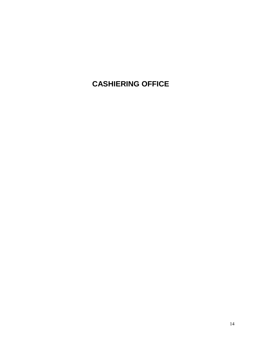# **CASHIERING OFFICE**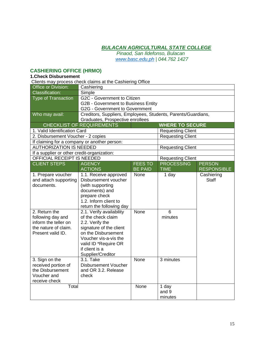*Pinaod, San Ildefonso, Bulacan www.basc.edu.ph | 044.762 1427*

#### **CASHIERING OFFICE (HRMO)**

#### **1.Check Disbursement**

Clients may process check claims at the Cashiering Office Office or Division: Cashiering Classification: Simple Type of Transaction G2C - Government to Citizen G2B - Government to Business Entity G2G - Government to Government Who may avail: **Creditors, Suppliers, Employees, Students, Parents/Guardians,** Graduates, Prospective enrollees CHECKLIST OF REQUIREMENTS **WHERE TO SECURE** 1. Valid Identification Card **Requesting Client** Requesting Client 2. Disbursement Voucher - 2 copies Requesting Client If claiming for a company or another person: AUTHORIZATION IS NEEDED Requesting Client If a supplier or other credit-organization: OFFICIAL RECEIPT IS NEEDED Requesting Client CLIENT STEPS AGENCY ACTIONS FEES TO BE PAID **PROCESSING** TIME **PERSON** RESPONSIBLE 1. Prepare voucher and attach supporting documents. 1.1. Receive approved Disbursement voucher (with supporting documents) and prepare check 1.2. Inform client to return the following day None | 1 day | Cashiering **Staff** 2. Return the following day and inform the teller on the nature of claim. Present valid ID. 2.1. Verify availability of the check claim 2.2. Verify the signature of the client on the Disbursement Voucher vis-a-vis the valid ID \*Require OR if client is a Supplier/Creditor None 6 minutes 3. Sign on the received portion of the Disbursement Voucher and receive check 3.1. Take Disbursement Voucher and OR 3.2. Release check None 3 minutes Total 1 day and 9 minutes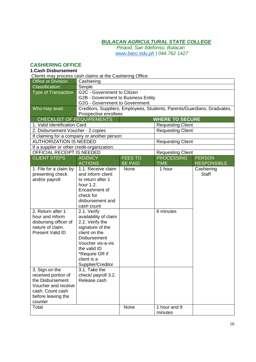*Pinaod, San Ildefonso, Bulacan www.basc.edu.ph | 044.762 1427*

#### **CASHIERING OFFICE**

#### **1.Cash Disbursement**

Clients may process cash claims at the Cashiering Office Office or Division: Cashiering Classification: Simple Type of Transaction | G2C - Government to Citizen G2B - Government to Business Entity G2G - Government to Government Who may avail: Creditors, Suppliers, Employees, Students, Parents/Guardians, Graduates, Prospective enrollees CHECKLIST OF REQUIREMENTS **WHERE TO SECURE** 1. Valid Identification Card Requesting Client 2. Disbursement Voucher - 2 copies Requesting Client If claiming for a company or another person: AUTHORIZATION IS NEEDED Requesting Client If a supplier or other credit-organization: OFFICIAL RECEIPT IS NEEDED Requesting Client CLIENT STEPS AGENCY ACTIONS FEES TO BE PAID **PROCESSING** TIME **PERSON RESPONSIBLE** 1. File for a claim by presenting check and/or payroll 1.1. Receive claim and inform client to return after 1 hour 1.2. Encashment of check for disbursement and cash count None 1 hour Cashiering **Staff** 2. Return after 1 hour and inform disbursing officer of nature of claim. Present Valid ID 2.1. Verify availability of claim 2.2. Verify the signature of the client on the **Disbursement** Voucher vis-a-vis the valid ID \*Require OR if client is a Supplier/Creditor 6 minutes 3. Sign on the received portion of the Disbursement Voucher and receive cash. Count cash before leaving the counter 3.1. Take the check/ payroll 3.2. Release cash Total 1 hour and 9 minutes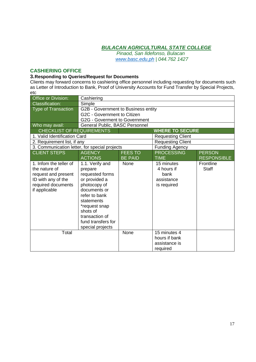*Pinaod, San Ildefonso, Bulacan www.basc.edu.ph | 044.762 1427*

#### **CASHIERING OFFICE**

#### **3.Responding to Queries/Request for Documents**

Clients may forward concerns to cashiering office personnel including requesting for documents such as Letter of Introduction to Bank, Proof of University Accounts for Fund Transfer by Special Projects, etc

| Office or Division:                           | Cashiering                          |                |                          |                    |
|-----------------------------------------------|-------------------------------------|----------------|--------------------------|--------------------|
| <b>Classification:</b>                        | Simple                              |                |                          |                    |
| <b>Type of Transaction</b>                    | G2B - Government to Business entity |                |                          |                    |
|                                               | G2C - Government to Citizen         |                |                          |                    |
|                                               | G2G - Goverment to Government       |                |                          |                    |
| Who may avail:                                | General Public, BASC Personnel      |                |                          |                    |
| CHECKLIST OF REQUIREMENTS                     |                                     |                | <b>WHERE TO SECURE</b>   |                    |
| 1. Valid Identification Card                  |                                     |                | <b>Requesting Client</b> |                    |
| 2. Requirement list, if any                   |                                     |                | <b>Requesting Client</b> |                    |
| 3. Communication letter, for special projects |                                     |                | <b>Funding Agency</b>    |                    |
| <b>CLIENT STEPS</b>                           | <b>AGENCY</b>                       | <b>FEES TO</b> | <b>PROCESSING</b>        | <b>PERSON</b>      |
|                                               | <b>ACTIONS</b>                      | <b>BE PAID</b> | <b>TIME</b>              | <b>RESPONSIBLE</b> |
| 1. Infom the teller of                        | 1.1. Verify and                     | None           | 15 minutes               | Frontline          |
| the nature of                                 | prepare                             |                | 4 hours if               | <b>Staff</b>       |
| request and present                           | requested forms                     |                | bank                     |                    |
| ID with any of the                            | or provided a                       |                | assistance               |                    |
| required documents                            | photocopy of                        |                | is required              |                    |
| if applicable                                 | documents or                        |                |                          |                    |
|                                               | refer to bank                       |                |                          |                    |
|                                               | statements                          |                |                          |                    |
|                                               | *request snap                       |                |                          |                    |
|                                               | shots of                            |                |                          |                    |
|                                               | transaction of                      |                |                          |                    |
|                                               | fund transfers for                  |                |                          |                    |
|                                               | special projects                    |                |                          |                    |
| Total                                         |                                     | None           | 15 minutes 4             |                    |
|                                               |                                     |                | hours if bank            |                    |
|                                               |                                     |                | assistance is            |                    |
|                                               |                                     |                | required                 |                    |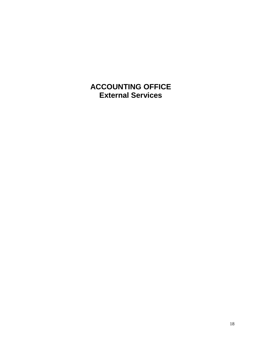**ACCOUNTING OFFICE External Services**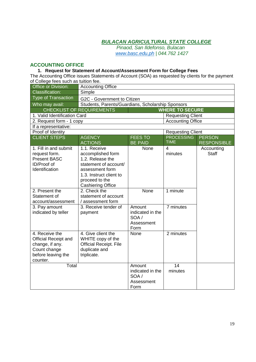*Pinaod, San Ildefonso, Bulacan www.basc.edu.ph | 044.762 1427*

# **ACCOUNTING OFFICE**

#### **1. Request for Statement of Account/Assessment Form for College Fees**

The Accounting Office issues Statements of Account (SOA) as requested by clients for the payment of College fees such as tuition fee.

| Office or Division:                                                                                                | <b>Accounting Office</b>                                                                                                                                                   |                                                          |                          |                            |
|--------------------------------------------------------------------------------------------------------------------|----------------------------------------------------------------------------------------------------------------------------------------------------------------------------|----------------------------------------------------------|--------------------------|----------------------------|
| <b>Classification:</b>                                                                                             | Simple                                                                                                                                                                     |                                                          |                          |                            |
| <b>Type of Transaction</b>                                                                                         | G2C - Government to Citizen                                                                                                                                                |                                                          |                          |                            |
| Who may avail:                                                                                                     | Students, Parents/Guardians, Scholarship Sponsors                                                                                                                          |                                                          |                          |                            |
|                                                                                                                    | <b>CHECKLIST OF REQUIREMENTS</b>                                                                                                                                           |                                                          | <b>WHERE TO SECURE</b>   |                            |
| 1. Valid Identification Card                                                                                       |                                                                                                                                                                            |                                                          | <b>Requesting Client</b> |                            |
| 2. Request form - 1 copy                                                                                           |                                                                                                                                                                            |                                                          | <b>Accounting Office</b> |                            |
| If a representative:                                                                                               |                                                                                                                                                                            |                                                          |                          |                            |
| Proof of Identity                                                                                                  |                                                                                                                                                                            |                                                          | <b>Requesting Client</b> |                            |
| <b>CLIENT STEPS</b>                                                                                                | <b>AGENCY</b>                                                                                                                                                              | <b>FEES TO</b>                                           | <b>PROCESSING</b>        | <b>PERSON</b>              |
|                                                                                                                    | <b>ACTIONS</b>                                                                                                                                                             | <b>BE PAID</b>                                           | <b>TIME</b>              | <b>RESPONSIBLE</b>         |
| 1. Fill in and submit<br>request form.<br><b>Present BASC</b><br>ID/Proof of<br>Identification                     | 1.1. Receive<br>accomplished form<br>1.2. Release the<br>statement of account/<br>assessment form<br>1.3. Instruct client to<br>proceed to the<br><b>Cashiering Office</b> | None                                                     | 4<br>minutes             | Accounting<br><b>Staff</b> |
| 2. Present the<br>Statement of<br>account/assessment                                                               | 2. Check the<br>statement of account<br>/ assessment form                                                                                                                  | None                                                     | 1 minute                 |                            |
| 3. Pay amount<br>indicated by teller                                                                               | 3. Receive tender of<br>payment                                                                                                                                            | Amount<br>indicated in the<br>SOA/<br>Assessment<br>Form | 7 minutes                |                            |
| 4. Receive the<br><b>Official Receipt and</b><br>change, if any.<br>Count change<br>before leaving the<br>counter. | 4. Give client the<br>WHITE copy of the<br>Official Receipt. File<br>duplicate and<br>triplicate.                                                                          | None                                                     | 2 minutes                |                            |
| Total                                                                                                              |                                                                                                                                                                            | Amount<br>indicated in the<br>SOA/<br>Assessment<br>Form | 14<br>minutes            |                            |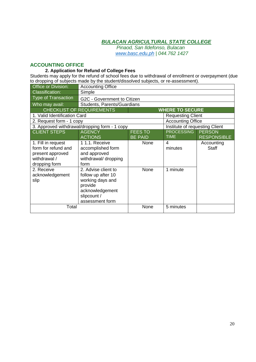*Pinaod, San Ildefonso, Bulacan www.basc.edu.ph | 044.762 1427*

#### **ACCOUNTING OFFICE**

#### **2. Application for Refund of College Fees**

Students may apply for the refund of school fees due to withdrawal of enrollment or overpayment (due to dropping of subjects made by the student/dissolved subjects, or re-assessment).

| Office or Division:                                                                            | <b>Accounting Office</b>                                                                                                      |                                  |                                  |                                     |  |
|------------------------------------------------------------------------------------------------|-------------------------------------------------------------------------------------------------------------------------------|----------------------------------|----------------------------------|-------------------------------------|--|
| <b>Classification:</b>                                                                         | Simple                                                                                                                        |                                  |                                  |                                     |  |
| <b>Type of Transaction</b>                                                                     |                                                                                                                               | G2C - Government to Citizen      |                                  |                                     |  |
| Who may avail:                                                                                 | Students, Parents/Guardians                                                                                                   |                                  |                                  |                                     |  |
|                                                                                                | <b>CHECKLIST OF REQUIREMENTS</b>                                                                                              |                                  | <b>WHERE TO SECURE</b>           |                                     |  |
| 1. Valid Identification Card                                                                   |                                                                                                                               |                                  | <b>Requesting Client</b>         |                                     |  |
| 2. Request form - 1 copy                                                                       |                                                                                                                               |                                  | <b>Accounting Office</b>         |                                     |  |
|                                                                                                | 3. Approved withdrawal/dropping form - 1 copy                                                                                 |                                  | Institute of requesting Client   |                                     |  |
| <b>CLIENT STEPS</b>                                                                            | <b>AGENCY</b><br><b>ACTIONS</b>                                                                                               | <b>FEES TO</b><br><b>BE PAID</b> | <b>PROCESSING</b><br><b>TIME</b> | <b>PERSON</b><br><b>RESPONSIBLE</b> |  |
| 1. Fill in request<br>form for refund and<br>present approved<br>withdrawal /<br>dropping form | 11.1. Receive<br>accomplished form<br>and approved<br>withdrawal/ dropping<br>form                                            | None                             | 4<br>minutes                     | Accounting<br><b>Staff</b>          |  |
| 2. Receive<br>acknowledgement<br>slip                                                          | 2. Advise client to<br>follow up after 10<br>working days and<br>provide<br>acknowledgement<br>slipcount /<br>assessment form | None                             | 1 minute                         |                                     |  |
| Total                                                                                          |                                                                                                                               | None                             | 5 minutes                        |                                     |  |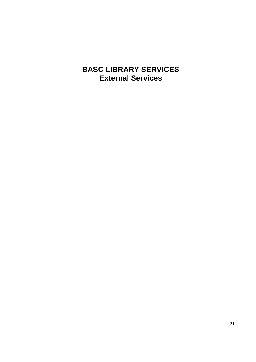# **BASC LIBRARY SERVICES External Services**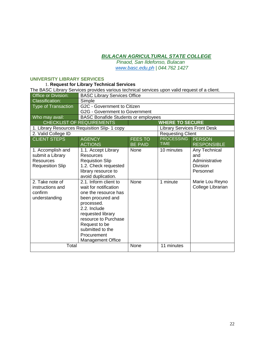*Pinaod, San Ildefonso, Bulacan www.basc.edu.ph | 044.762 1427*

#### **UNIVERSITY LIBRARY SERVICES**

# 1. **Request for Library Technical Services**

The BASC Library Services provides various technical services upon valid request of a client.

| <b>Office or Division:</b> | <b>BASC Library Services Office</b>           |                |                                    |                    |
|----------------------------|-----------------------------------------------|----------------|------------------------------------|--------------------|
| <b>Classification:</b>     | Simple                                        |                |                                    |                    |
| <b>Type of Transaction</b> | G2C - Government to Citizen                   |                |                                    |                    |
|                            | G2G - Government to Government                |                |                                    |                    |
| Who may avail:             | <b>BASC Bonafide Students or employees</b>    |                |                                    |                    |
|                            | <b>CHECKLIST OF REQUIREMENTS</b>              |                | <b>WHERE TO SECURE</b>             |                    |
|                            | 1. Library Resources Requisition Slip- 1 copy |                | <b>Library Services Front Desk</b> |                    |
| 2. Valid College ID        |                                               |                | <b>Requesting Client</b>           |                    |
| <b>CLIENT STEPS</b>        | <b>AGENCY</b>                                 | <b>FEES TO</b> | <b>PROCESSING</b>                  | <b>PERSON</b>      |
|                            | <b>ACTIONS</b>                                | <b>BE PAID</b> | <b>TIME</b>                        | <b>RESPONSIBLE</b> |
| 1. Accomplish and          | 1.1. Accept Library                           | None           | 10 minutes                         | Any Technical      |
| submit a Library           | <b>Resources</b>                              |                |                                    | and                |
| <b>Resources</b>           | <b>Requistion Slip</b>                        |                |                                    | Administrative     |
| <b>Requesition Slip</b>    | 1.2. Check requested                          |                |                                    | <b>Division</b>    |
|                            | library resource to                           |                |                                    | Personnel          |
|                            | avoid duplication.                            |                |                                    |                    |
| 2. Take note of            | 2.1. Inform client to                         | None           | 1 minute                           | Marie Lou Reyno    |
| instructions and           | wait for notification                         |                |                                    | College Librarian  |
| confirm                    | one the resource has                          |                |                                    |                    |
| understanding              | been procured and                             |                |                                    |                    |
|                            | processed.                                    |                |                                    |                    |
|                            | 2.2. Include                                  |                |                                    |                    |
|                            | requested library                             |                |                                    |                    |
|                            | resource to Purchase                          |                |                                    |                    |
|                            | Request to be                                 |                |                                    |                    |
|                            | submitted to the                              |                |                                    |                    |
|                            | Procurement                                   |                |                                    |                    |
|                            | <b>Management Office</b>                      |                |                                    |                    |
| Total                      |                                               | None           | 11 minutes                         |                    |
|                            |                                               |                |                                    |                    |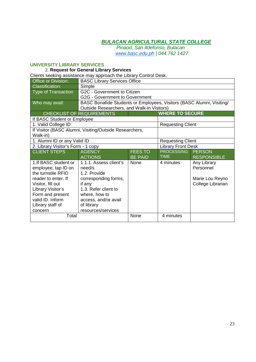*Pinaod, San Ildefonso, Bulacan www.basc.edu.ph | 044.762 1427*

#### **UNIVERSITY LIBRARY SERVICES**

# 2. **Request for General Library Services**

Clients seeking assistance may approach the Library Control Desk.

| Office or Division:                |                                                                       | <b>BASC Library Services Office</b> |                           |                    |  |
|------------------------------------|-----------------------------------------------------------------------|-------------------------------------|---------------------------|--------------------|--|
| <b>Classification:</b>             | Simple                                                                |                                     |                           |                    |  |
| <b>Type of Transaction</b>         | G2C - Government to Citizen                                           |                                     |                           |                    |  |
|                                    |                                                                       | G2G - Government to Government      |                           |                    |  |
| Who may avail:                     | BASC Bonafide Students or Employees, Visitors (BASC Alumni, Visiting/ |                                     |                           |                    |  |
|                                    | Outside Researchers, and Walk-in Visitors)                            |                                     |                           |                    |  |
|                                    | <b>CHECKLIST OF REQUIREMENTS</b>                                      |                                     | <b>WHERE TO SECURE</b>    |                    |  |
| If BASC Student or Employee        |                                                                       |                                     |                           |                    |  |
| 1. Valid College ID                |                                                                       |                                     | <b>Requesting Client</b>  |                    |  |
|                                    | If Visitor (BASC Alumni, Visiting/Outside Researchers,                |                                     |                           |                    |  |
| Walk-in)                           |                                                                       |                                     |                           |                    |  |
| 1. Alumni ID or any Valid ID       |                                                                       |                                     | <b>Requesting Client</b>  |                    |  |
| 2. Library Visitor's Form - 1 copy |                                                                       |                                     | <b>Library Front Desk</b> |                    |  |
| <b>CLIENT STEPS</b>                | <b>AGENCY</b>                                                         | <b>FEES TO</b>                      | <b>PROCESSING</b>         | <b>PERSON</b>      |  |
|                                    | <b>ACTIONS</b>                                                        | <b>BE PAID</b>                      | <b>TIME</b>               | <b>RESPONSIBLE</b> |  |
|                                    |                                                                       |                                     |                           |                    |  |
| 1. If BASC student or              | 1 1.1. Assess client's                                                | None                                | 4 minutes                 | Any Library        |  |
| employee, tap ID on                | need/s                                                                |                                     |                           | Personnel          |  |
| the turnstile RFID                 | 1.2. Provide                                                          |                                     |                           |                    |  |
| reader to enter. If                | corresponding forms,                                                  |                                     |                           | Marie Lou Reyno    |  |
| Visitor, fill out                  | if any                                                                |                                     |                           | College Librarian  |  |
| Library Visitor's                  | 1.3. Refer client to                                                  |                                     |                           |                    |  |
| Form and present                   | where, how to                                                         |                                     |                           |                    |  |
| valid ID. Inform                   | access, and/or avail                                                  |                                     |                           |                    |  |
| Library staff of                   | of library                                                            |                                     |                           |                    |  |
| concern<br>Total                   | resources/services                                                    | None                                | 4 minutes                 |                    |  |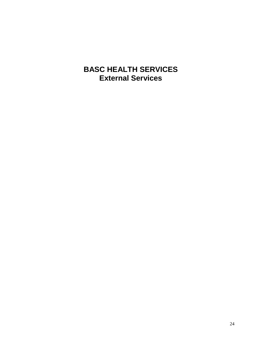# **BASC HEALTH SERVICES External Services**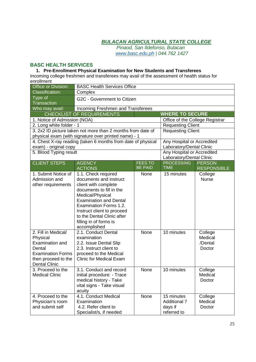*Pinaod, San Ildefonso, Bulacan www.basc.edu.ph | 044.762 1427*

# **BASC HEALTH SERVICES**

#### **1. Pre-Enrollment Physical Examination for New Students and Transferees**

Incoming college freshmen and transferees may avail of the assessment of health status for enrollment

| Office or Division:          | <b>BASC Health Services Office</b>                           |                |                                               |                                     |
|------------------------------|--------------------------------------------------------------|----------------|-----------------------------------------------|-------------------------------------|
| <b>Classification:</b>       | Complex                                                      |                |                                               |                                     |
| Type of                      | G2C - Government to Citizen                                  |                |                                               |                                     |
| <b>Transaction</b>           |                                                              |                |                                               |                                     |
| Who may avail:               | Incoming Freshmen and Transferees                            |                |                                               |                                     |
|                              | <b>CHECKLIST OF REQUIREMENTS</b>                             |                | <b>WHERE TO SECURE</b>                        |                                     |
| 1. Notice of Admission (NOA) |                                                              |                | Office of the College Registrar               |                                     |
| 2. Long white folder - 1     |                                                              |                | <b>Requesting Client</b>                      |                                     |
|                              | 3. 2x2 ID picture taken not more than 2 months from date of  |                | Requesting Client                             |                                     |
|                              | physical exam (with signature over printed name) - 1         |                |                                               |                                     |
|                              | 4. Chest X-ray reading (taken 6 months from date of physical |                | Any Hospital or Accredited                    |                                     |
| exam) - original copy        |                                                              |                | Laboratory/Dental Clinic                      |                                     |
| 5. Blood Typing result       |                                                              |                | Any Hospital or Accredited                    |                                     |
| <b>CLIENT STEPS</b>          |                                                              | <b>FEES TO</b> | Laboratory/Dental Clinic<br><b>PROCESSING</b> |                                     |
|                              | <b>AGENCY</b><br><b>ACTIONS</b>                              | <b>BE PAID</b> | <b>TIME</b>                                   | <b>PERSON</b><br><b>RESPONSIBLE</b> |
| 1. Submit Notice of          | 1.1. Check required                                          | None           | 15 minutes                                    | College                             |
| Admission and                | documents and instruct                                       |                |                                               | <b>Nurse</b>                        |
| other requirements           | client with complete                                         |                |                                               |                                     |
|                              | documents to fill in the                                     |                |                                               |                                     |
|                              | Medical/Physical                                             |                |                                               |                                     |
|                              | <b>Examination and Dental</b>                                |                |                                               |                                     |
|                              | Examination Forms 1.2.                                       |                |                                               |                                     |
|                              | Instruct client to proceed                                   |                |                                               |                                     |
|                              | to the Dental Clinic after                                   |                |                                               |                                     |
|                              | filling in of forms is                                       |                |                                               |                                     |
|                              | accomplished                                                 |                |                                               |                                     |
| 2. Fill in Medical/          | 2.1. Conduct Dental                                          | None           | 10 minutes                                    | College                             |
| Physical                     | examination                                                  |                |                                               | Medical                             |
| <b>Examination and</b>       | 2.2. Issue Dental Slip                                       |                |                                               | /Dental                             |
| Dental                       | 2.3. Instruct client to                                      |                |                                               | Doctor                              |
| <b>Examination Forms</b>     | proceed to the Medical                                       |                |                                               |                                     |
| then proceed to the          | <b>Clinic for Medical Exam</b>                               |                |                                               |                                     |
| <b>Dental Clinic</b>         |                                                              |                |                                               |                                     |
| 3. Proceed to the            | 3.1. Conduct and record                                      | None           | 10 minutes                                    | College                             |
| <b>Medical Clinic</b>        | initial procedure: - Trace                                   |                |                                               | Medical                             |
|                              | medical history - Take                                       |                |                                               | Doctor                              |
|                              | vital signs - Take visual                                    |                |                                               |                                     |
|                              | acuity                                                       |                |                                               |                                     |
| 4. Proceed to the            | 4.1. Conduct Medical                                         | None           | 15 minutes                                    | College                             |
| Physician's room             | Examination                                                  |                | <b>Additional 7</b>                           | Medical                             |
| and submit self              | 4.2. Refer client to                                         |                | days if                                       | Doctor                              |
|                              | Specialist/s, if needed                                      |                | referred to                                   |                                     |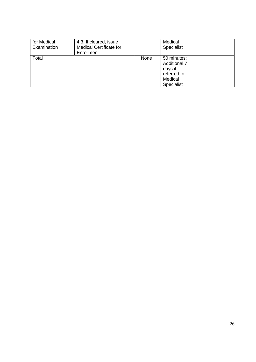| for Medical<br>Examination | 4.3. If cleared, issue<br><b>Medical Certificate for</b><br>Enrollment |      | Medical<br>Specialist                                                                 |  |
|----------------------------|------------------------------------------------------------------------|------|---------------------------------------------------------------------------------------|--|
| Total                      |                                                                        | None | 50 minutes;<br><b>Additional 7</b><br>days if<br>referred to<br>Medical<br>Specialist |  |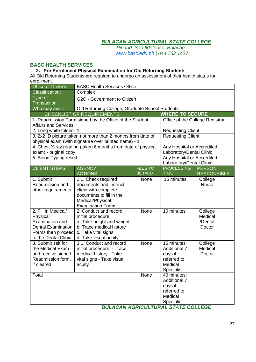*Pinaod, San Ildefonso, Bulacan www.basc.edu.ph | 044.762 1427*

#### **BASC HEALTH SERVICES**

#### **2. Pre-Enrollment Physical Examination for Old Returning Student**s

All Old Returning Students are required to undergo an assessment of their health status for enrollment.

| <b>Office or Division:</b>              | <b>BASC Health Services Office</b>                           |                |                                               |                    |
|-----------------------------------------|--------------------------------------------------------------|----------------|-----------------------------------------------|--------------------|
| <b>Classification:</b>                  | Complex                                                      |                |                                               |                    |
| Type of                                 | G2C - Government to Citizen                                  |                |                                               |                    |
| Transaction                             |                                                              |                |                                               |                    |
| Who may avail:                          | Old Returning College, Graduate School Students              |                |                                               |                    |
|                                         | <b>CHECKLIST OF REQUIREMENTS</b>                             |                | <b>WHERE TO SECURE</b>                        |                    |
|                                         | 1. Readmission Form signed by the Office of the Student      |                | Office of the College Registrar               |                    |
| <b>Affairs and Services</b>             |                                                              |                |                                               |                    |
| 2. Long white folder - 1                |                                                              |                | <b>Requesting Client</b>                      |                    |
|                                         | 3. 2x2 ID picture taken not more than 2 months from date of  |                | <b>Requesting Client</b>                      |                    |
|                                         | physical exam (with signature over printed name) - 1         |                |                                               |                    |
|                                         | 4. Chest X-ray reading (taken 6 months from date of physical |                | Any Hospital or Accredited                    |                    |
| exam) - original copy                   |                                                              |                | Laboratory/Dental Clinic                      |                    |
| 5. Blood Typing result                  |                                                              |                | <b>Any Hospital or Accredited</b>             |                    |
| <b>CLIENT STEPS</b>                     | <b>AGENCY</b>                                                | <b>FEES TO</b> | Laboratory/Dental Clinic<br><b>PROCESSING</b> | <b>PERSON</b>      |
|                                         | <b>ACTIONS</b>                                               | <b>BE PAID</b> | <b>TIME</b>                                   | <b>RESPONSIBLE</b> |
| 1. Submit                               | 1.1. Check required                                          | None           | 15 minutes                                    | College            |
| Readmission and                         | documents and instruct                                       |                |                                               | <b>Nurse</b>       |
| other requirements                      | client with complete                                         |                |                                               |                    |
|                                         | documents to fill in the                                     |                |                                               |                    |
|                                         | Medical/Physical                                             |                |                                               |                    |
|                                         | <b>Examination Forms</b>                                     |                |                                               |                    |
| 2. Fill in Medical/                     | 2. Conduct and record                                        | None           | 10 minutes                                    | College            |
| Physical                                | initial procedure:                                           |                |                                               | Medical            |
| <b>Examination and</b>                  | a. Take height and weight                                    |                |                                               | /Dental            |
| <b>Dental Examination</b>               | b. Trace medical history                                     |                |                                               | Doctor             |
| Forms then proceed                      | c. Take vital signs                                          |                |                                               |                    |
| to the Dental Clinic                    | d. Take visual acuity                                        |                |                                               |                    |
| 3. Submit self for                      | 3.1. Conduct and record                                      | None           | 15 minutes                                    | College            |
| the Medical Exam                        | initial procedure: - Trace                                   |                | <b>Additional 7</b>                           | Medical            |
| and receive signed<br>Readmission form, | medical history - Take<br>vital signs - Take visual          |                | days if<br>referred to                        | Doctor             |
| if cleared                              | acuity                                                       |                | Medical                                       |                    |
|                                         |                                                              |                | Specialist                                    |                    |
| Total                                   |                                                              | None           | 40 minutes;                                   |                    |
|                                         |                                                              |                | <b>Additional 7</b>                           |                    |
|                                         |                                                              |                | days if                                       |                    |
|                                         |                                                              |                | referred to                                   |                    |
|                                         |                                                              |                | Medical                                       |                    |
|                                         |                                                              |                | Specialist                                    |                    |
|                                         |                                                              |                | <b>BULACAN AGRICULTURAL STATE COLLEGE</b>     |                    |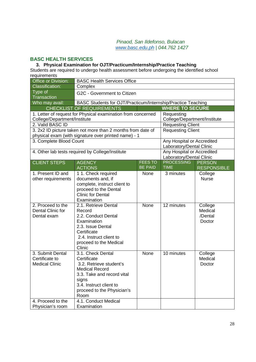#### *Pinaod, San Ildefonso, Bulacan www.basc.edu.ph | 044.762 1427*

### **BASC HEALTH SERVICES**

# **3. Physical Examination for OJT/Practicum/Internship/Practice Teaching**

Students are required to undergo health assessment before undergoing the identified school requirements

| Office or Division:              | <b>BASC Health Services Office</b>                           |                |                              |                    |
|----------------------------------|--------------------------------------------------------------|----------------|------------------------------|--------------------|
| <b>Classification:</b>           | Complex                                                      |                |                              |                    |
| Type of                          | G2C - Government to Citizen                                  |                |                              |                    |
| <b>Transaction</b>               |                                                              |                |                              |                    |
| Who may avail:                   | BASC Students for OJT/Practicum/Internship/Practice Teaching |                |                              |                    |
|                                  | <b>CHECKLIST OF REQUIREMENTS</b>                             |                | <b>WHERE TO SECURE</b>       |                    |
|                                  | 1. Letter of request for Physical examination from concerned |                | Requesting                   |                    |
| College/Department/Institute     |                                                              |                | College/Department/Institute |                    |
| 2. Valid BASC ID                 |                                                              |                | Requesting Client            |                    |
|                                  | 3. 2x2 ID picture taken not more than 2 months from date of  |                | <b>Requesting Client</b>     |                    |
| 3. Complete Blood Count          | physical exam (with signature over printed name) - 1         |                | Any Hospital or Accredited   |                    |
|                                  |                                                              |                | Laboratory/Dental Clinic     |                    |
|                                  | 4. Other lab tests required by College/Institute             |                | Any Hospital or Accredited   |                    |
|                                  |                                                              |                | Laboratory/Dental Clinic     |                    |
| <b>CLIENT STEPS</b>              | <b>AGENCY</b>                                                | <b>FEES TO</b> | <b>PROCESSING</b>            | <b>PERSON</b>      |
|                                  | <b>ACTIONS</b>                                               | <b>BE PAID</b> | <b>TIME</b>                  | <b>RESPONSIBLE</b> |
| 1. Present ID and                | 1 1. Check required                                          | None           | 3 minutes                    | College            |
| other requirements               | documents and, if                                            |                |                              | <b>Nurse</b>       |
|                                  | complete, instruct client to                                 |                |                              |                    |
|                                  | proceed to the Dental                                        |                |                              |                    |
|                                  | <b>Clinic for Dental</b>                                     |                |                              |                    |
|                                  | Examination                                                  |                |                              |                    |
| 2. Proceed to the                | 2.1. Retrieve Dental                                         | None           | 12 minutes                   | College            |
| Dental Clinic for<br>Dental exam | Record<br>2.2. Conduct Dental                                |                |                              | Medical<br>/Dental |
|                                  | Examination                                                  |                |                              | Doctor             |
|                                  | 2.3. Issue Dental                                            |                |                              |                    |
|                                  | Certificate                                                  |                |                              |                    |
|                                  | 2.4. Instruct client to                                      |                |                              |                    |
|                                  | proceed to the Medical                                       |                |                              |                    |
|                                  | Clinic                                                       |                |                              |                    |
| 3. Submit Dental                 | 3.1. Check Dental                                            | None           | 10 minutes                   | College            |
| Certificate to                   | Certificate                                                  |                |                              | Medical            |
| <b>Medical Clinic</b>            | 3.2. Retrieve student's                                      |                |                              | Doctor             |
|                                  | Medical Record                                               |                |                              |                    |
|                                  | 3.3. Take and record vital                                   |                |                              |                    |
|                                  | signs                                                        |                |                              |                    |
|                                  | 3.4. Instruct client to                                      |                |                              |                    |
|                                  | proceed to the Physician's                                   |                |                              |                    |
|                                  | Room                                                         |                |                              |                    |
| 4. Proceed to the                | 4.1. Conduct Medical                                         |                |                              |                    |
| Physician's room                 | Examination                                                  |                |                              |                    |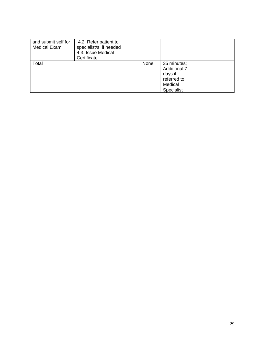| and submit self for<br><b>Medical Exam</b> | 4.2. Refer patient to<br>specialist/s, if needed<br>4.3. Issue Medical<br>Certificate |      |                                                                                       |  |
|--------------------------------------------|---------------------------------------------------------------------------------------|------|---------------------------------------------------------------------------------------|--|
| Total                                      |                                                                                       | None | 35 minutes;<br><b>Additional 7</b><br>days if<br>referred to<br>Medical<br>Specialist |  |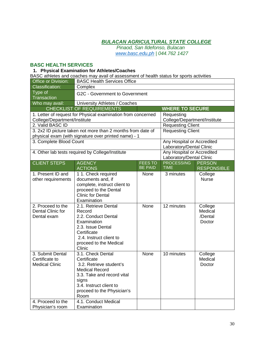*Pinaod, San Ildefonso, Bulacan www.basc.edu.ph | 044.762 1427*

### **BASC HEALTH SERVICES**

#### **1. Physical Examination for Athletes/Coaches**

BASC athletes and coaches may avail of assessment of health status for sports activities

| Office or Division:                                          | <b>BASC Health Services Office</b>                          |                |                                                        |                    |
|--------------------------------------------------------------|-------------------------------------------------------------|----------------|--------------------------------------------------------|--------------------|
| Classification:                                              | Complex                                                     |                |                                                        |                    |
| Type of                                                      | G2C - Government to Government                              |                |                                                        |                    |
| <b>Transaction</b>                                           |                                                             |                |                                                        |                    |
| Who may avail:                                               | University Athletes / Coaches                               |                |                                                        |                    |
|                                                              | <b>CHECKLIST OF REQUIREMENTS</b>                            |                | <b>WHERE TO SECURE</b>                                 |                    |
| 1. Letter of request for Physical examination from concerned |                                                             |                | Requesting                                             |                    |
| College/Department/Institute                                 |                                                             |                | College/Department/Institute                           |                    |
| 2. Valid BASC ID                                             |                                                             |                | <b>Requesting Client</b>                               |                    |
|                                                              | 3. 2x2 ID picture taken not more than 2 months from date of |                | <b>Requesting Client</b>                               |                    |
|                                                              | physical exam (with signature over printed name) - 1        |                |                                                        |                    |
| 3. Complete Blood Count                                      |                                                             |                | Any Hospital or Accredited                             |                    |
|                                                              |                                                             |                | Laboratory/Dental Clinic                               |                    |
|                                                              | 4. Other lab tests required by College/Institute            |                | Any Hospital or Accredited<br>Laboratory/Dental Clinic |                    |
| <b>CLIENT STEPS</b>                                          | <b>AGENCY</b>                                               | <b>FEES TO</b> | <b>PROCESSING</b>                                      | <b>PERSON</b>      |
|                                                              | <b>ACTIONS</b>                                              | <b>BE PAID</b> | <b>TIME</b>                                            | <b>RESPONSIBLE</b> |
| 1. Present ID and                                            | 1 1. Check required                                         | None           | 3 minutes                                              | College            |
| other requirements                                           | documents and, if                                           |                |                                                        | <b>Nurse</b>       |
|                                                              | complete, instruct client to                                |                |                                                        |                    |
|                                                              | proceed to the Dental                                       |                |                                                        |                    |
|                                                              | <b>Clinic for Dental</b>                                    |                |                                                        |                    |
|                                                              | Examination                                                 |                |                                                        |                    |
| 2. Proceed to the                                            | 2.1. Retrieve Dental                                        | None           | 12 minutes                                             | College            |
| Dental Clinic for                                            | Record                                                      |                |                                                        | Medical            |
| Dental exam                                                  | 2.2. Conduct Dental                                         |                |                                                        | /Dental            |
|                                                              | Examination                                                 |                |                                                        | Doctor             |
|                                                              | 2.3. Issue Dental                                           |                |                                                        |                    |
|                                                              | Certificate                                                 |                |                                                        |                    |
|                                                              | 2.4. Instruct client to                                     |                |                                                        |                    |
|                                                              | proceed to the Medical                                      |                |                                                        |                    |
|                                                              | Clinic                                                      |                |                                                        |                    |
| 3. Submit Dental                                             | 3.1. Check Dental                                           | None           | 10 minutes                                             | College            |
| Certificate to<br><b>Medical Clinic</b>                      | Certificate<br>3.2. Retrieve student's                      |                |                                                        | Medical            |
|                                                              | <b>Medical Record</b>                                       |                |                                                        | Doctor             |
|                                                              | 3.3. Take and record vital                                  |                |                                                        |                    |
|                                                              | signs                                                       |                |                                                        |                    |
|                                                              | 3.4. Instruct client to                                     |                |                                                        |                    |
|                                                              | proceed to the Physician's                                  |                |                                                        |                    |
|                                                              | Room                                                        |                |                                                        |                    |
| 4. Proceed to the                                            | 4.1. Conduct Medical                                        |                |                                                        |                    |
| Physician's room                                             | Examination                                                 |                |                                                        |                    |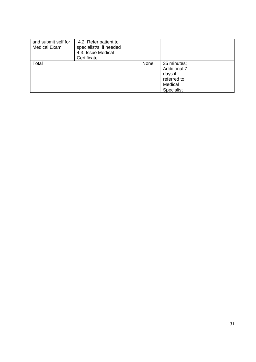| and submit self for<br><b>Medical Exam</b> | 4.2. Refer patient to<br>specialist/s, if needed<br>4.3. Issue Medical<br>Certificate |      |                                                                                       |  |
|--------------------------------------------|---------------------------------------------------------------------------------------|------|---------------------------------------------------------------------------------------|--|
| Total                                      |                                                                                       | None | 35 minutes;<br><b>Additional 7</b><br>days if<br>referred to<br>Medical<br>Specialist |  |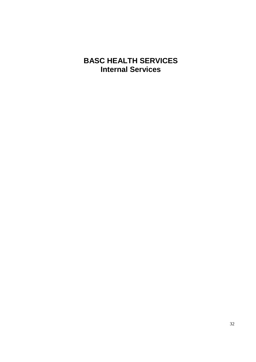# **BASC HEALTH SERVICES Internal Services**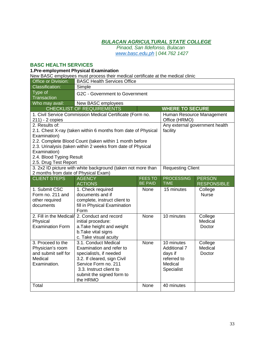*Pinaod, San Ildefonso, Bulacan www.basc.edu.ph | 044.762 1427*

### **BASC HEALTH SERVICES**

#### **1.Pre-employment Physical Examination**

New BASC employees must process their medical certificate at the medical clinic

| Office or Division:                  | <b>BASC Health Services Office</b>                                                                                    |                |                          |                                |
|--------------------------------------|-----------------------------------------------------------------------------------------------------------------------|----------------|--------------------------|--------------------------------|
| <b>Classification:</b>               | Simple                                                                                                                |                |                          |                                |
| Type of                              | <b>G2C - Government to Government</b>                                                                                 |                |                          |                                |
| Transaction                          |                                                                                                                       |                |                          |                                |
| Who may avail:                       | New BASC employees                                                                                                    |                |                          |                                |
|                                      | <b>CHECKLIST OF REQUIREMENTS</b>                                                                                      |                | <b>WHERE TO SECURE</b>   |                                |
|                                      | 1. Civil Service Commission Medical Certificate (Form no.                                                             |                |                          | Human Resource Management      |
| 211) - 2 copies                      |                                                                                                                       |                | Office (HRMO)            |                                |
| 2. Results of:                       |                                                                                                                       |                |                          | Any external government health |
|                                      | 2.1. Chest X-ray (taken within 6 months from date of Physical                                                         |                | facility                 |                                |
| Examination)                         |                                                                                                                       |                |                          |                                |
|                                      | 2.2. Complete Blood Count (taken within 1 month before<br>2.3. Urinalysis (taken within 2 weeks from date of Physical |                |                          |                                |
| Examination)                         |                                                                                                                       |                |                          |                                |
| 2.4. Blood Typing Result             |                                                                                                                       |                |                          |                                |
| 2.5. Drug Test Report                |                                                                                                                       |                |                          |                                |
|                                      | 3. 2x2 ID picture with white background (taken not more than                                                          |                | <b>Requesting Client</b> |                                |
| 2 months from date of Physical Exam) |                                                                                                                       |                |                          |                                |
| <b>CLIENT STEPS</b>                  | <b>AGENCY</b>                                                                                                         | <b>FEES TO</b> | <b>PROCESSING</b>        | <b>PERSON</b>                  |
|                                      | <b>ACTIONS</b>                                                                                                        | <b>BE PAID</b> | <b>TIME</b>              | <b>RESPONSIBLE</b>             |
| 1. Submit CSC                        | 1. Check required                                                                                                     | None           | 15 minutes               | College                        |
| Form no. 211 and                     | documents and if                                                                                                      |                |                          | <b>Nurse</b>                   |
| other required                       | complete, instruct client to                                                                                          |                |                          |                                |
| documents                            | fill in Physical Examination                                                                                          |                |                          |                                |
|                                      | Form                                                                                                                  |                |                          |                                |
| 2. Fill in the Medical/              | 2. Conduct and record                                                                                                 | None           | 10 minutes               | College                        |
| Physical<br><b>Examination Form</b>  | initial procedure:                                                                                                    |                |                          | Medical                        |
|                                      | a. Take height and weight                                                                                             |                |                          | Doctor                         |
|                                      | b. Take vital signs                                                                                                   |                |                          |                                |
| 3. Proceed to the                    | c. Take visual acuity<br>3.1. Conduct Medical                                                                         | None           | 10 minutes               | College                        |
| Physician's room                     | Examination and refer to                                                                                              |                | <b>Additional 7</b>      | Medical                        |
| and submit self for                  | specialist/s, if needed                                                                                               |                | days if                  | Doctor                         |
| Medical                              | 3.2. If cleared, sign Civil                                                                                           |                | referred to              |                                |
| Examination.                         | Service Form no. 211                                                                                                  |                | Medical                  |                                |
|                                      |                                                                                                                       |                |                          |                                |
|                                      |                                                                                                                       |                |                          |                                |
|                                      | 3.3. Instruct client to                                                                                               |                | Specialist               |                                |
|                                      | submit the signed form to<br>the HRMO                                                                                 |                |                          |                                |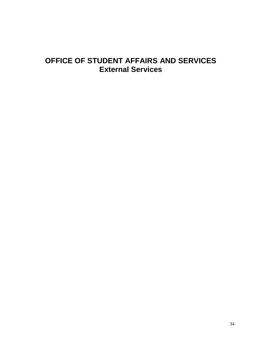# **OFFICE OF STUDENT AFFAIRS AND SERVICES External Services**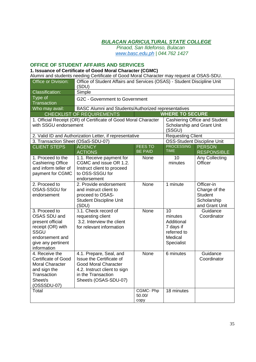*Pinaod, San Ildefonso, Bulacan www.basc.edu.ph | 044.762 1427*

#### **OFFICE OF STUDENT AFFAIRS AND SERVICES**

**1. Issuance of Certificate of Good Moral Character (CGMC)**

Alumni and students needing Certificate of Good Moral Character may request at OSAS-SDU.

| Office or Division:                | Office of Student Affairs and Services (OSAS) - Student Discipline Unit<br>(SDU) |                |                            |                                      |  |
|------------------------------------|----------------------------------------------------------------------------------|----------------|----------------------------|--------------------------------------|--|
| <b>Classification:</b>             | Simple                                                                           |                |                            |                                      |  |
| Type of                            | G2C - Government to Government                                                   |                |                            |                                      |  |
| <b>Transaction</b>                 |                                                                                  |                |                            |                                      |  |
| Who may avail:                     | BASC Alumni and Students/Authorized representatives                              |                |                            |                                      |  |
|                                    | <b>CHECKLIST OF REQUIREMENTS</b><br><b>WHERE TO SECURE</b>                       |                |                            |                                      |  |
|                                    | 1. Official Receipt (OR) of Certificate of Good Moral Character                  |                |                            | <b>Cashiering Office and Student</b> |  |
| with SSGU endorsement              |                                                                                  |                | Scholarship and Grant Unit |                                      |  |
|                                    |                                                                                  |                | (SSGU)                     |                                      |  |
|                                    | 2. Valid ID and Authorization Letter, if representative                          |                | <b>Requesting Client</b>   |                                      |  |
| 3. Transaction Sheet (OSaS-SDU-07) |                                                                                  |                |                            | <b>OSS-Student Discipline Unit</b>   |  |
| <b>CLIENT STEPS</b>                | <b>AGENCY</b>                                                                    | <b>FEES TO</b> | <b>PROCESSING</b>          | <b>PERSON</b>                        |  |
|                                    | <b>ACTIONS</b>                                                                   | <b>BE PAID</b> | <b>TIME</b>                | <b>RESPONSIBLE</b>                   |  |
| 1. Proceed to the                  | 1.1. Receive payment for                                                         | None           | 10                         | Any Collecting                       |  |
| <b>Cashiering Office</b>           | CGMC and issue OR 1.2.                                                           |                | minutes                    | Officer                              |  |
| and inform teller of               | Instruct client to proceed                                                       |                |                            |                                      |  |
| payment for CGMC                   | to OSS-SSGU for                                                                  |                |                            |                                      |  |
|                                    | endorsement                                                                      |                |                            |                                      |  |
| 2. Proceed to                      | 2. Provide endorsement                                                           | None           | 1 minute                   | Officer-in                           |  |
| OSAS-SSGU for                      | and instruct client to                                                           |                |                            | Charge of the                        |  |
| endorsement                        | proceed to OSAS-                                                                 |                |                            | <b>Student</b>                       |  |
|                                    | <b>Student Discipline Unit</b>                                                   |                |                            | Scholarship                          |  |
|                                    | (SDU)                                                                            |                |                            | and Grant Unit                       |  |
| 3. Proceed to                      | 3.1. Check record of                                                             | None           | 10                         | Guidance                             |  |
| OSAS SDU and                       | requesting client                                                                |                | minutes                    | Coordinator                          |  |
| present official                   | 3.2. Interview the client                                                        |                | Additional                 |                                      |  |
| receipt (OR) with                  | for relevant information                                                         |                | 7 days if                  |                                      |  |
| SSGU                               |                                                                                  |                | referred to                |                                      |  |
| endorsement and                    |                                                                                  |                | Medical                    |                                      |  |
| give any pertinent<br>information  |                                                                                  |                | Specialist                 |                                      |  |
| 4. Receive the                     | 4.1. Prepare, Seal, and                                                          | None           | 6 minutes                  | Guidance                             |  |
| <b>Certificate of Good</b>         | Issue the Certificate of                                                         |                |                            | Coordinator                          |  |
| <b>Moral Character</b>             | <b>Good Moral Character</b>                                                      |                |                            |                                      |  |
| and sign the                       | 4.2. Instruct client to sign                                                     |                |                            |                                      |  |
| Transaction                        | in the Transaction                                                               |                |                            |                                      |  |
| Sheet/s                            | Sheet/s (OSAS-SDU-07)                                                            |                |                            |                                      |  |
| (OSSSDU-07)                        |                                                                                  |                |                            |                                      |  |
| Total                              |                                                                                  | CGMC-Php       | 18 minutes                 |                                      |  |
|                                    |                                                                                  | 50.00/         |                            |                                      |  |
|                                    |                                                                                  | copy           |                            |                                      |  |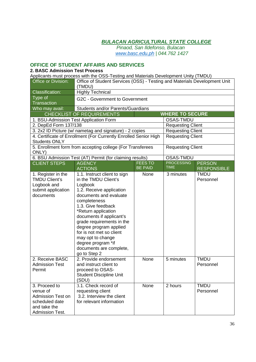*Pinaod, San Ildefonso, Bulacan www.basc.edu.ph | 044.762 1427*

# **OFFICE OF STUDENT AFFAIRS AND SERVICES**

#### **2. BASC Admission Test Process**

Applicants must process with the OSS-Testing and Materials Development Unity (TMDU)

| Office or Division:                                                                                               | Office of Student Services (OSS) - Testing and Materials Development Unit<br>(TMDU)                                                                                                                                                                                                                                                                                                     |                                  |                                  |                                     |  |
|-------------------------------------------------------------------------------------------------------------------|-----------------------------------------------------------------------------------------------------------------------------------------------------------------------------------------------------------------------------------------------------------------------------------------------------------------------------------------------------------------------------------------|----------------------------------|----------------------------------|-------------------------------------|--|
| <b>Classification:</b>                                                                                            | <b>Highly Technical</b>                                                                                                                                                                                                                                                                                                                                                                 |                                  |                                  |                                     |  |
| Type of<br><b>Transaction</b>                                                                                     | G2C - Government to Government                                                                                                                                                                                                                                                                                                                                                          |                                  |                                  |                                     |  |
| Who may avail:                                                                                                    | Students and/or Parents/Guardians                                                                                                                                                                                                                                                                                                                                                       |                                  |                                  |                                     |  |
|                                                                                                                   | <b>CHECKLIST OF REQUIREMENTS</b>                                                                                                                                                                                                                                                                                                                                                        |                                  | <b>WHERE TO SECURE</b>           |                                     |  |
|                                                                                                                   | 1. BSU-Admission Test Application Form                                                                                                                                                                                                                                                                                                                                                  |                                  | OSAS-TMDU                        |                                     |  |
| 2. DepEd Form 137/138                                                                                             |                                                                                                                                                                                                                                                                                                                                                                                         |                                  | <b>Requesting Client</b>         |                                     |  |
|                                                                                                                   | 3. 2x2 ID Picture (w/ nametag and signature) - 2 copies                                                                                                                                                                                                                                                                                                                                 |                                  | <b>Requesting Client</b>         |                                     |  |
| <b>Students ONLY</b>                                                                                              | 4. Certificate of Enrollment (For Currently Enrolled Senior High                                                                                                                                                                                                                                                                                                                        |                                  | <b>Requesting Client</b>         |                                     |  |
| ONLY)                                                                                                             | 5. Enrollment form from accepting college (For Transferees                                                                                                                                                                                                                                                                                                                              |                                  | <b>Requesting Client</b>         |                                     |  |
|                                                                                                                   | 6. BSU Admission Test (AT) Permit (for claiming results)                                                                                                                                                                                                                                                                                                                                |                                  | <b>OSAS-TMDU</b>                 |                                     |  |
| <b>CLIENT STEPS</b>                                                                                               | <b>AGENCY</b><br><b>ACTIONS</b>                                                                                                                                                                                                                                                                                                                                                         | <b>FEES TO</b><br><b>BE PAID</b> | <b>PROCESSING</b><br><b>TIME</b> | <b>PERSON</b><br><b>RESPONSIBLE</b> |  |
| 1. Register in the<br><b>TMDU Client's</b><br>Logbook and<br>submit application<br>documents                      | 1.1. Instruct client to sign<br>in the TMDU Client's<br>Logbook<br>1.2. Receive application<br>documents and evaluate<br>completeness<br>1.3. Give feedback<br>*Return application<br>documents if applicant's<br>grade requirements in the<br>degree program applied<br>for is not met so client<br>may opt to change<br>degree program *if<br>documents are complete,<br>go to Step 2 | None                             | 3 minutes                        | <b>TMDU</b><br>Personnel            |  |
| 2. Receive BASC<br><b>Admission Test</b><br>Permit                                                                | 2. Provide endorsement<br>and instruct client to<br>proceed to OSAS-<br><b>Student Discipline Unit</b><br>(SDU)                                                                                                                                                                                                                                                                         | None                             | 5 minutes                        | <b>TMDU</b><br>Personnel            |  |
| 3. Proceed to<br>venue of<br><b>Admission Test on</b><br>scheduled date<br>and take the<br><b>Admission Test.</b> | 3.1. Check record of<br>requesting client<br>3.2. Interview the client<br>for relevant information                                                                                                                                                                                                                                                                                      | None                             | 2 hours                          | <b>TMDU</b><br>Personnel            |  |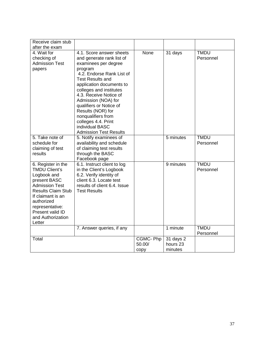| Receive claim stub<br>after the exam                                                                                                                                                                                                     |                                                                                                                                                                                                                                                                                                                                                                                                           |                            |                                  |                          |
|------------------------------------------------------------------------------------------------------------------------------------------------------------------------------------------------------------------------------------------|-----------------------------------------------------------------------------------------------------------------------------------------------------------------------------------------------------------------------------------------------------------------------------------------------------------------------------------------------------------------------------------------------------------|----------------------------|----------------------------------|--------------------------|
| 4. Wait for<br>checking of<br><b>Admission Test</b><br>papers                                                                                                                                                                            | 4.1. Score answer sheets<br>and generate rank list of<br>examinees per degree<br>program<br>4.2. Endorse Rank List of<br><b>Test Results and</b><br>application documents to<br>colleges and institutes<br>4.3. Receive Notice of<br>Admission (NOA) for<br>qualifiers or Notice of<br>Results (NOR) for<br>nonqualifiers from<br>colleges 4.4. Print<br>individual BASC<br><b>Admission Test Results</b> | None                       | 31 days                          | <b>TMDU</b><br>Personnel |
| 5. Take note of<br>schedule for<br>claiming of test<br>results                                                                                                                                                                           | 5. Notify examinees of<br>availability and schedule<br>of claiming test results<br>through the BASC<br>Facebook page                                                                                                                                                                                                                                                                                      |                            | 5 minutes                        | <b>TMDU</b><br>Personnel |
| 6. Register in the<br><b>TMDU Client's</b><br>Logbook and<br>present BASC<br><b>Admission Test</b><br><b>Results Claim Stub</b><br>If claimant is an<br>authorized<br>representative:<br>Present valid ID<br>and Authorization<br>Letter | 6.1. Instruct client to log<br>in the Client's Logbook<br>6.2. Verify identity of<br>client 6.3. Locate test<br>results of client 6.4. Issue<br><b>Test Results</b>                                                                                                                                                                                                                                       |                            | 9 minutes                        | <b>TMDU</b><br>Personnel |
|                                                                                                                                                                                                                                          | 7. Answer queries, if any                                                                                                                                                                                                                                                                                                                                                                                 |                            | 1 minute                         | <b>TMDU</b><br>Personnel |
| Total                                                                                                                                                                                                                                    |                                                                                                                                                                                                                                                                                                                                                                                                           | CGMC-Php<br>50.00/<br>copy | 31 days 2<br>hours 23<br>minutes |                          |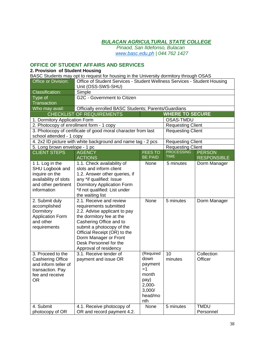*Pinaod, San Ildefonso, Bulacan www.basc.edu.ph | 044.762 1427*

# **OFFICE OF STUDENT AFFAIRS AND SERVICES**

#### **2. Provision of Student Housing**

BASC Students may opt to request for housing in the University dormitory through OSAS

| Office or Division:                      | Office of Student Services - Student Wellness Services - Student Housing<br>Unit (OSS-SWS-SHU) |                |                          |                    |
|------------------------------------------|------------------------------------------------------------------------------------------------|----------------|--------------------------|--------------------|
| <b>Classification:</b>                   | Simple                                                                                         |                |                          |                    |
| Type of<br><b>Transaction</b>            | G2C - Government to Citizen                                                                    |                |                          |                    |
| Who may avail:                           | Officially enrolled BASC Students; Parents/Guardians                                           |                |                          |                    |
|                                          | <b>CHECKLIST OF REQUIREMENTS</b>                                                               |                | <b>WHERE TO SECURE</b>   |                    |
| 1. Dormitory Application Form            |                                                                                                |                | <b>OSAS-TMDU</b>         |                    |
| 2. Photocopy of enrollment form - 1 copy |                                                                                                |                | <b>Requesting Client</b> |                    |
|                                          | 3. Photocopy of certificate of good moral character from last                                  |                | <b>Requesting Client</b> |                    |
| school attended - 1 copy                 |                                                                                                |                |                          |                    |
|                                          | 4. 2x2 ID picture with white background and name tag - 2 pcs                                   |                | <b>Requesting Client</b> |                    |
| 5. Long brown envelope - 1 pc            |                                                                                                |                | <b>Requesting Client</b> |                    |
| <b>CLIENT STEPS</b>                      | <b>AGENCY</b>                                                                                  | <b>FEES TO</b> | <b>PROCESSING</b>        | <b>PERSON</b>      |
|                                          | <b>ACTIONS</b>                                                                                 | <b>BE PAID</b> | <b>TIME</b>              | <b>RESPONSIBLE</b> |
| 1 1. Log in the<br>SHU Logbook and       | 1.1. Check availability of<br>slots and inform client                                          | None           | 5 minutes                | Dorm Manager       |
| inquire on the                           | 1.2. Answer other queries, if                                                                  |                |                          |                    |
| availability of slots                    | any *if qualified: Issue                                                                       |                |                          |                    |
| and other pertinent                      | Dormitory Application Form                                                                     |                |                          |                    |
| information                              | *if not qualified: List under                                                                  |                |                          |                    |
|                                          | the waiting list                                                                               |                |                          |                    |
| 2. Submit duly                           | 2.1. Receive and review                                                                        | None           | 5 minutes                | Dorm Manager       |
| accomplished                             | requirements submitted                                                                         |                |                          |                    |
| Dormitory                                | 2.2. Advise applicant to pay                                                                   |                |                          |                    |
| <b>Application Form</b>                  | the dormitory fee at the                                                                       |                |                          |                    |
| and other                                | Cashering Office and to                                                                        |                |                          |                    |
| requirements                             | submit a photocopy of the                                                                      |                |                          |                    |
|                                          | Official Receipt (OR) to the                                                                   |                |                          |                    |
|                                          | Dorm Manager or Front                                                                          |                |                          |                    |
|                                          | Desk Personnel for the                                                                         |                |                          |                    |
|                                          | Approval of residency                                                                          |                |                          |                    |
| 3. Proceed to the                        | 3.1. Receive tender of                                                                         | (Required      | 10                       | Collection         |
| <b>Cashiering Office</b>                 | payment and issue OR                                                                           | down           | minutes                  | Officer            |
| and inform teller of                     |                                                                                                | payment        |                          |                    |
| transaction. Pay                         |                                                                                                | $=1$           |                          |                    |
| fee and receive                          |                                                                                                | month          |                          |                    |
| <b>OR</b>                                |                                                                                                | pay)           |                          |                    |
|                                          |                                                                                                | $2,000 -$      |                          |                    |
|                                          |                                                                                                | 3,000/         |                          |                    |
|                                          |                                                                                                | head/mo        |                          |                    |
|                                          |                                                                                                | nth            |                          |                    |
| 4. Submit                                | 4.1. Receive photocopy of                                                                      | None           | 5 minutes                | <b>TMDU</b>        |
| photocopy of OR                          | OR and record payment 4.2.                                                                     |                |                          | Personnel          |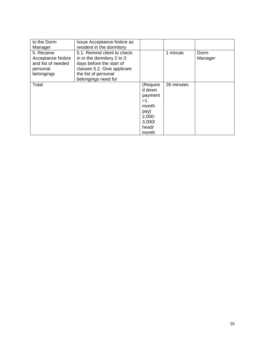| to the Dorm<br>Manager                                                                 | <b>Issue Acceptance Notice as</b><br>resident in the dormitory                                                                                                       |                                                                                                 |            |                 |
|----------------------------------------------------------------------------------------|----------------------------------------------------------------------------------------------------------------------------------------------------------------------|-------------------------------------------------------------------------------------------------|------------|-----------------|
| 5. Receive<br><b>Acceptance Notice</b><br>and list of needed<br>personal<br>belongings | 5.1. Remind client to check-<br>in in the dormitory 2 to 3<br>days before the start of<br>classes 5.2. Give applicant<br>the list of personal<br>belongings need for |                                                                                                 | 1 minute   | Dorm<br>Manager |
| Total                                                                                  |                                                                                                                                                                      | (Require<br>d down<br>payment<br>$=1$<br>month<br>pay)<br>$2,000 -$<br>3,000/<br>head/<br>month | 26 minutes |                 |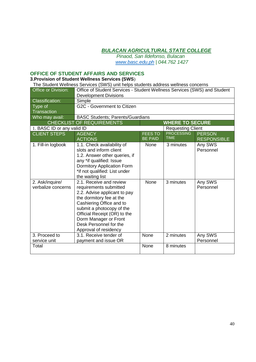*Pinaod, San Ildefonso, Bulacan www.basc.edu.ph | 044.762 1427*

# **OFFICE OF STUDENT AFFAIRS AND SERVICES**

# **3.Provision of Student Wellness Services (SWS**)

| The Student Wellness Services (SWS) unit helps students address wellness concerns |                                                                                                                                                                                                                                                                                    |                                  |                                  |                                     |
|-----------------------------------------------------------------------------------|------------------------------------------------------------------------------------------------------------------------------------------------------------------------------------------------------------------------------------------------------------------------------------|----------------------------------|----------------------------------|-------------------------------------|
| Office or Division:                                                               | Office of Student Services - Student Wellness Services (SWS) and Student<br><b>Development Divisions</b>                                                                                                                                                                           |                                  |                                  |                                     |
| <b>Classification:</b>                                                            | Simple                                                                                                                                                                                                                                                                             |                                  |                                  |                                     |
| Type of                                                                           | G2C - Government to Citizen                                                                                                                                                                                                                                                        |                                  |                                  |                                     |
| Transaction                                                                       |                                                                                                                                                                                                                                                                                    |                                  |                                  |                                     |
| Who may avail:                                                                    | <b>BASC Students; Parents/Guardians</b>                                                                                                                                                                                                                                            |                                  |                                  |                                     |
|                                                                                   | <b>CHECKLIST OF REQUIREMENTS</b>                                                                                                                                                                                                                                                   |                                  | <b>WHERE TO SECURE</b>           |                                     |
| 1. BASC ID or any valid ID                                                        |                                                                                                                                                                                                                                                                                    |                                  | <b>Requesting Client</b>         |                                     |
| <b>CLIENT STEPS</b>                                                               | <b>AGENCY</b><br><b>ACTIONS</b>                                                                                                                                                                                                                                                    | <b>FEES TO</b><br><b>BE PAID</b> | <b>PROCESSING</b><br><b>TIME</b> | <b>PERSON</b><br><b>RESPONSIBLE</b> |
| 1. Fill-in logbook                                                                | 1.1. Check availability of<br>slots and inform client<br>1.2. Answer other queries, if<br>any *if qualified: Issue<br><b>Dormitory Application Form</b><br>*if not qualified: List under<br>the waiting list                                                                       | None                             | 3 minutes                        | Any SWS<br>Personnel                |
| 2. Ask/inquire/<br>verbalize concerns                                             | 2.1. Receive and review<br>requirements submitted<br>2.2. Advise applicant to pay<br>the dormitory fee at the<br>Cashiering Office and to<br>submit a photocopy of the<br>Official Receipt (OR) to the<br>Dorm Manager or Front<br>Desk Personnel for the<br>Approval of residency | None                             | 3 minutes                        | Any SWS<br>Personnel                |
| 3. Proceed to<br>service unit                                                     | 3.1. Receive tender of<br>payment and issue OR                                                                                                                                                                                                                                     | None                             | 2 minutes                        | Any SWS<br>Personnel                |
| Total                                                                             |                                                                                                                                                                                                                                                                                    | None                             | 8 minutes                        |                                     |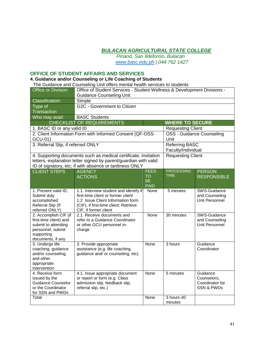*Pinaod, San Ildefonso, Bulacan www.basc.edu.ph | 044.762 1427*

#### **OFFICE OF STUDENT AFFAIRS AND SERVICES**

#### **4. Guidance and/or Counseling or Life Coaching of Students**

The Guidance and Counseling Unit offers mental health services to students

| Office or Division:                  | Office of Student Services - Student Wellness & Development Divisions - |                          |                          |                           |
|--------------------------------------|-------------------------------------------------------------------------|--------------------------|--------------------------|---------------------------|
|                                      | <b>Guidance Counseling Unit</b>                                         |                          |                          |                           |
| <b>Classification:</b>               | Simple                                                                  |                          |                          |                           |
| Type of                              | G2C - Government to Citizen                                             |                          |                          |                           |
| Transaction                          |                                                                         |                          |                          |                           |
| Who may avail:                       | <b>BASC Students</b>                                                    |                          |                          |                           |
|                                      | <b>CHECKLIST OF REQUIREMENTS</b>                                        |                          | <b>WHERE TO SECURE</b>   |                           |
| 1. BASC ID or any valid ID           |                                                                         |                          | <b>Requesting Client</b> |                           |
|                                      | 2. Client Information Form with Informed Consent (QF-OSS-               |                          |                          | OSS - Guidance Counseling |
| GCU-01)                              |                                                                         |                          | Unit                     |                           |
| 3. Referral Slip, if referred ONLY   |                                                                         |                          | Referring BASC           |                           |
|                                      |                                                                         |                          | Faculty/Individual       |                           |
|                                      | 4. Supporting documents such as medical certificate, invitation         |                          | <b>Requesting Client</b> |                           |
|                                      | letters, explanation letter signed by parent/guardian with valid        |                          |                          |                           |
|                                      | ID of signatory, etc; if with absence or tardiness ONLY                 |                          |                          |                           |
| <b>CLIENT STEPS</b>                  | <b>AGENCY</b>                                                           | <b>FEES</b>              | <b>PROCESSING</b>        | <b>PERSON</b>             |
|                                      | <b>ACTIONS</b>                                                          | <b>TO</b>                | <b>TIME</b>              | <b>RESPONSIBLE</b>        |
|                                      |                                                                         | <b>BE</b><br><b>PAID</b> |                          |                           |
| 1. Present valid ID;                 | 1.1. Interview student and identify if                                  | None                     | 5 minutes                | SWS-Guidance              |
| Submit duly                          | first-time client or former client                                      |                          |                          | and Counseling            |
| accomplished                         | 1.2. Issue Client Information form                                      |                          |                          | Unit Personnel            |
| Referral Slip (If                    | (CIF), if first-time client; Retrieve                                   |                          |                          |                           |
| referred ONLY)                       | CIF, if former client                                                   |                          |                          |                           |
| 2. Accomplish CIF (if                | 2.1. Receive documents and                                              | None                     | 30 minutes               | SWS-Guidance              |
| first-time client) and               | refer to a Guidance Coordinator                                         |                          |                          | and Counseling            |
| submit to attending                  | or other GCU personnel in-                                              |                          |                          | Unit Personnel            |
| personnel; submit                    | charge                                                                  |                          |                          |                           |
| supporting                           |                                                                         |                          |                          |                           |
| documents, if any<br>3. Undergo life | 3. Provide appropriate                                                  | None                     | 3 hours                  | Guidance                  |
| coaching, guidance                   | assistance (e.g. life coaching,                                         |                          |                          | Coordinator               |
| and/or counseling,                   | guidance and/ or counseling, etc)                                       |                          |                          |                           |
| and other                            |                                                                         |                          |                          |                           |
| appropriate                          |                                                                         |                          |                          |                           |
| intervention                         |                                                                         |                          |                          |                           |
| 4. Receive form                      | 4.1. Issue appropriate document                                         | None                     | 5 minutes                | Guidance                  |
| issued by the                        | or report or form (e.g. Class                                           |                          |                          | Counselors;               |
| Guidance Counselor                   | admission slip, feedback slip,                                          |                          |                          | Coordinator for           |
| or the Coordinator                   | referral slip, etc.)                                                    |                          |                          | <b>SSN &amp; PWDs</b>     |
| for SSN and PWDs                     |                                                                         |                          |                          |                           |
| Total                                |                                                                         | None                     | 3 hours 40<br>minutes    |                           |
|                                      |                                                                         |                          |                          |                           |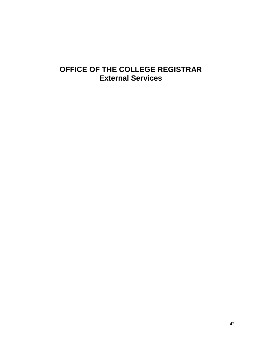# **OFFICE OF THE COLLEGE REGISTRAR External Services**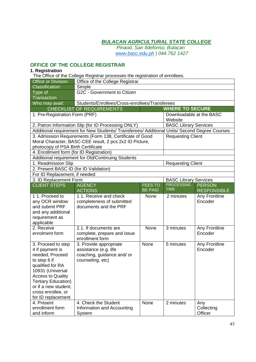*Pinaod, San Ildefonso, Bulacan www.basc.edu.ph | 044.762 1427*

# **OFFICE OF THE COLLEGE REGISTRAR**

#### **1. Registration**

The Office of the College Registrar processes the registration of enrollees.

| <b>Office or Division:</b>                   | Office of the College Registrar                                                               |                |                              |                      |  |
|----------------------------------------------|-----------------------------------------------------------------------------------------------|----------------|------------------------------|----------------------|--|
| <b>Classification:</b>                       | Simple                                                                                        |                |                              |                      |  |
| Type of<br><b>Transaction</b>                | G2C - Government to Citizen                                                                   |                |                              |                      |  |
| Who may avail:                               | Students/Enrollees/Cross-enrollees/Transferees                                                |                |                              |                      |  |
|                                              | <b>CHECKLIST OF REQUIREMENTS</b>                                                              |                | <b>WHERE TO SECURE</b>       |                      |  |
| 1. Pre-Registration Form (PRF)               |                                                                                               |                | Downloadable at the BASC     |                      |  |
|                                              |                                                                                               |                | Website                      |                      |  |
|                                              | 2. Patron Information Slip (for ID Processing ONLY)                                           |                | <b>BASC Library Services</b> |                      |  |
|                                              | Additional requirement for New Students/ Transferees/ Additional Units/ Second Degree Courses |                |                              |                      |  |
|                                              | 3. Admission Requirements (Form 138, Certificate of Good                                      |                | <b>Requesting Client</b>     |                      |  |
|                                              | Moral Character, BASC-CEE result, 2 pcs 2x2 ID Picture,                                       |                |                              |                      |  |
| photocopy of PSA Birth Certificate           |                                                                                               |                |                              |                      |  |
| 4. Enrollment form (for ID Registration)     |                                                                                               |                |                              |                      |  |
|                                              | Additional requirement for Old/Continuing Students                                            |                |                              |                      |  |
| 1. Readmission Slip                          |                                                                                               |                | <b>Requesting Client</b>     |                      |  |
| 2. Present BASC ID (for ID Validation)       |                                                                                               |                |                              |                      |  |
| For ID Replacement, if needed                |                                                                                               |                |                              |                      |  |
| 3. ID Replacement Form                       |                                                                                               |                | <b>BASC Library Services</b> |                      |  |
| <b>CLIENT STEPS</b>                          | <b>AGENCY</b>                                                                                 | <b>FEES TO</b> | <b>PROCESSING</b>            | <b>PERSON</b>        |  |
|                                              | <b>ACTIONS</b>                                                                                | <b>BE PAID</b> | <b>TIME</b>                  | <b>RESPONSIBLE</b>   |  |
| 11. Proceed to                               | 11. Receive and check                                                                         | None           | 2 minutes                    | <b>Any Frontline</b> |  |
| any OCR window                               | completeness of submitted                                                                     |                |                              | Encoder              |  |
| and submit PRF                               | documents and the PRF                                                                         |                |                              |                      |  |
| and any additional                           |                                                                                               |                |                              |                      |  |
| requirement as                               |                                                                                               |                |                              |                      |  |
| applicable                                   |                                                                                               |                |                              |                      |  |
| 2. Receive                                   | 2.1. If documents are                                                                         | None           | 3 minutes                    | Any Frontline        |  |
| enrolment form                               | complete, prepare and issue                                                                   |                |                              | Encoder              |  |
|                                              | enrollment form                                                                               |                |                              |                      |  |
| 3. Proceed to step                           | 3. Provide appropriate                                                                        | None           | 5 minutes                    | Any Frontline        |  |
| 4 if payment is                              | assistance (e.g. life                                                                         |                |                              | Encoder              |  |
| needed; Proceed                              | coaching, guidance and/ or                                                                    |                |                              |                      |  |
| to step 6 if                                 | counseling, etc)                                                                              |                |                              |                      |  |
| qualified for RA                             |                                                                                               |                |                              |                      |  |
| 10931 (Universal<br><b>Access to Quality</b> |                                                                                               |                |                              |                      |  |
| <b>Tertiary Education)</b>                   |                                                                                               |                |                              |                      |  |
| or if a new student,                         |                                                                                               |                |                              |                      |  |
| cross enrollee, or                           |                                                                                               |                |                              |                      |  |
| for ID replacement                           |                                                                                               |                |                              |                      |  |
| 4. Present                                   | 4. Check the Student                                                                          | None           | 2 minutes                    | Any                  |  |
| enrollment form                              | Information and Accounting                                                                    |                |                              | Collecting           |  |
| and inform                                   | System                                                                                        |                |                              | Officer              |  |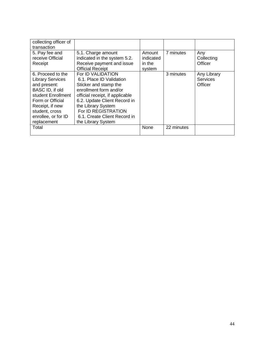| collecting officer of   |                                 |           |            |                 |
|-------------------------|---------------------------------|-----------|------------|-----------------|
| transaction             |                                 |           |            |                 |
| 5. Pay fee and          | 5.1. Charge amount              | Amount    | 7 minutes  | Any             |
| receive Official        | indicated in the system 5.2.    | indicated |            | Collecting      |
| Receipt                 | Receive payment and issue       | in the    |            | Officer         |
|                         | <b>Official Receipt</b>         | system    |            |                 |
| 6. Proceed to the       | For ID VALIDATION               |           | 3 minutes  | Any Library     |
| <b>Library Services</b> | 6.1. Place ID Validation        |           |            | <b>Services</b> |
| and present:            | Sticker and stamp the           |           |            | Officer         |
| BASC ID, if old         | enrollment form and/or          |           |            |                 |
| student Enrollment      | official receipt, if applicable |           |            |                 |
| Form or Official        | 6.2. Update Client Record in    |           |            |                 |
| Receipt, if new         | the Library System              |           |            |                 |
| student, cross          | For ID REGISTRATION             |           |            |                 |
| enrollee, or for ID     | 6.1. Create Client Record in    |           |            |                 |
| replacement             | the Library System              |           |            |                 |
| Total                   |                                 | None      | 22 minutes |                 |
|                         |                                 |           |            |                 |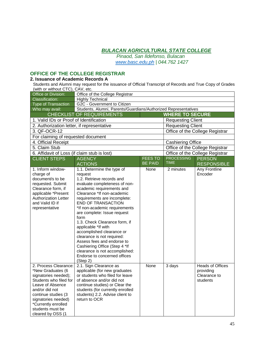*Pinaod, San Ildefonso, Bulacan www.basc.edu.ph | 044.762 1427*

# **OFFICE OF THE COLLEGE REGISTRAR**

### **2. Issuance of Academic Records A**

Students and Alumni may request for the issuance of Official Transcript of Records and True Copy of Grades (with or without CTC), CAV, etc.

| $\sim$ $\sim$ $\prime$ ,<br>Office or Division: | Office of the College Registrar                                  |                |                          |                                 |
|-------------------------------------------------|------------------------------------------------------------------|----------------|--------------------------|---------------------------------|
| Classification:                                 | <b>Highly Technical</b>                                          |                |                          |                                 |
| Type of Transaction                             | G2C - Government to Citizen                                      |                |                          |                                 |
| Who may avail:                                  | Students, Alumni, Parents/Guardians/Authorized Representatives   |                |                          |                                 |
|                                                 | <b>CHECKLIST OF REQUIREMENTS</b>                                 |                | <b>WHERE TO SECURE</b>   |                                 |
| 1. Valid IDs or Proof of Identification         |                                                                  |                | <b>Requesting Client</b> |                                 |
| 2. Authorization letter, if representative      |                                                                  |                | <b>Requesting Client</b> |                                 |
| 3. QF-OCR-12                                    |                                                                  |                |                          | Office of the College Registrar |
| For claiming of requested document              |                                                                  |                |                          |                                 |
| 4. Official Receipt                             |                                                                  |                | <b>Cashiering Office</b> |                                 |
| 5. Claim Stub                                   |                                                                  |                |                          | Office of the College Registrar |
| 6. Affidavit of Loss (if claim stub is lost)    |                                                                  |                |                          | Office of the College Registrar |
| <b>CLIENT STEPS</b>                             | <b>AGENCY</b>                                                    | <b>FEES TO</b> | <b>PROCESSING</b>        | <b>PERSON</b>                   |
|                                                 | <b>ACTIONS</b>                                                   | <b>BE PAID</b> | <b>TIME</b>              | <b>RESPONSIBLE</b>              |
| 1. Inform window-                               | 1.1. Determine the type of                                       | None           | 2 minutes                | Any Frontline                   |
| charge of                                       | request                                                          |                |                          | Encoder                         |
| document/s to be                                | 1.2. Retrieve records and                                        |                |                          |                                 |
| requested. Submit                               | evaluate completeness of non-                                    |                |                          |                                 |
| Clearance form, if                              | academic requirements and                                        |                |                          |                                 |
| applicable *Present                             | Clearance *If non-academic                                       |                |                          |                                 |
| <b>Authorization Letter</b><br>and Valid ID if  | requirements are incomplete:<br><b>END OF TRANSACTION</b>        |                |                          |                                 |
| representative                                  | *If non-academic requirements                                    |                |                          |                                 |
|                                                 | are complete: Issue request                                      |                |                          |                                 |
|                                                 | form                                                             |                |                          |                                 |
|                                                 | 1.3. Check Clearance form, if                                    |                |                          |                                 |
|                                                 | applicable *If with                                              |                |                          |                                 |
|                                                 | accomplished clearance or                                        |                |                          |                                 |
|                                                 | clearance is not required:                                       |                |                          |                                 |
|                                                 | Assess fees and endorse to                                       |                |                          |                                 |
|                                                 | Cashiering Office (Step 4 *If                                    |                |                          |                                 |
|                                                 | clearance is not accomplished:                                   |                |                          |                                 |
|                                                 | Endorse to concerned offices                                     |                |                          |                                 |
|                                                 | (Step 2)                                                         |                |                          |                                 |
| 2. Process Clearance:                           | 2.1. Sign Clearance as                                           | None           | 3 days                   | <b>Heads of Offices</b>         |
| *New Graduates (6<br>signatories needed);       | applicable (for new graduates<br>or students who filed for leave |                |                          | providing<br>Clearance to       |
| Students who filed for                          | of absence and/or did not                                        |                |                          | students                        |
| Leave of Absence                                | continue studies) or Clear the                                   |                |                          |                                 |
| and/or did not                                  | students (for currently enrolled                                 |                |                          |                                 |
| continue studies (3                             | students) 2.2. Advise client to                                  |                |                          |                                 |
| signatories needed)                             | return to OCR                                                    |                |                          |                                 |
| *Currently enrolled                             |                                                                  |                |                          |                                 |
| students must be                                |                                                                  |                |                          |                                 |
| cleared by OSS (1                               |                                                                  |                |                          |                                 |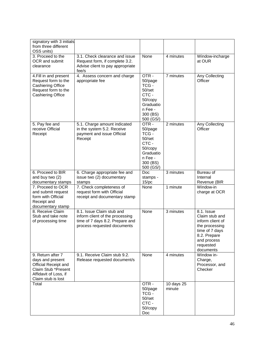| signatory with 3 initials<br>from three different<br>OSS units)                                                                     |                                                                                                                                |                                                                                                       |                      |                                                                                                                                               |
|-------------------------------------------------------------------------------------------------------------------------------------|--------------------------------------------------------------------------------------------------------------------------------|-------------------------------------------------------------------------------------------------------|----------------------|-----------------------------------------------------------------------------------------------------------------------------------------------|
| 3. Proceed to the<br>OCR and submit<br>clearance                                                                                    | 3.1. Check clearance and issue<br>Request form, if complete 3.2.<br>Advise client to pay appropriate<br>fee/s                  | None                                                                                                  | 4 minutes            | Window-incharge<br>at OUR                                                                                                                     |
| 4. Fill in and present<br>Request form to the<br><b>Cashiering Office</b><br>Request form to the<br><b>Cashiering Office</b>        | 4. Assess concern and charge<br>appropriate fee                                                                                | OTR-<br>50/page<br>TCG-<br>50/set<br>CTC-<br>50/copy<br>Graduatio<br>n Fee -<br>300 (BS)<br>500 (GS/) | 7 minutes            | Any Collecting<br>Officer                                                                                                                     |
| 5. Pay fee and<br>receive Official<br>Receipt                                                                                       | 5.1. Charge amount indicated<br>in the system 5.2. Receive<br>payment and issue Official<br>Receipt                            | OTR-<br>50/page<br>TCG-<br>50/set<br>CTC-<br>50/copy<br>Graduatio<br>n Fee -<br>300 (BS)<br>500 (GS/) | 2 minutes            | Any Collecting<br>Officer                                                                                                                     |
| 6. Proceed to BIR<br>and buy two (2)<br>documentary stamps                                                                          | 6. Charge appropriate fee and<br>issue two (2) documentary<br>stamps                                                           | Doc<br>stamps -<br>$15$ /pc                                                                           | 3 minutes            | Bureau of<br>Internal<br>Revenue (BIR                                                                                                         |
| 7. Proceed to OCR<br>and submit request<br>form with Official<br>Receipt and<br>documentary stamp                                   | 7. Check completeness of<br>request form with Official<br>receipt and documentary stamp                                        | None                                                                                                  | 1 minute             | Window-in<br>charge at OCR                                                                                                                    |
| 8. Receive Claim<br>Stub and take note<br>of processing time                                                                        | 8.1. Issue Claim stub and<br>inform client of the processing<br>time of 7 days 8.2. Prepare and<br>process requested documents | None                                                                                                  | 3 minutes            | 8.1. Issue<br>Claim stub and<br>inform client of<br>the processing<br>time of 7 days<br>8.2. Prepare<br>and process<br>requested<br>documents |
| 9. Return after 7<br>days and present<br>Official Receipt and<br>Claim Stub *Present<br>Affidavit of Loss, if<br>Claim stub is lost | 9.1. Receive Claim stub 9.2.<br>Release requested document/s                                                                   | None                                                                                                  | 4 minutes            | Window in-<br>Charge,<br>Processor, and<br>Checker                                                                                            |
| Total                                                                                                                               |                                                                                                                                | OTR-<br>50/page<br>TCG -<br>50/set<br>CTC-<br>50/copy<br>Doc                                          | 10 days 25<br>minute |                                                                                                                                               |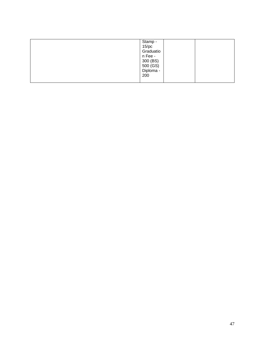| Stamp -               |
|-----------------------|
| $15$ /pc              |
| Graduatio             |
| n Fee -               |
| 300 (BS)              |
|                       |
| 500 (GS)<br>Diploma - |
| 200                   |
|                       |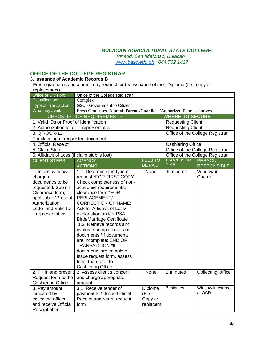*Pinaod, San Ildefonso, Bulacan www.basc.edu.ph | 044.762 1427*

# **OFFICE OF THE COLLEGE REGISTRAR**

#### 3. **Issuance of Academic Records B**

Fresh graduates and alumni may request for the issuance of their Diploma (first copy or replacement)

| Office or Division:                                                                                                                                                               | Office of the College Registrar                                                                                                                                                                                                                                                                                                                                                                                                                                                                                                      |                                          |                          |                                 |
|-----------------------------------------------------------------------------------------------------------------------------------------------------------------------------------|--------------------------------------------------------------------------------------------------------------------------------------------------------------------------------------------------------------------------------------------------------------------------------------------------------------------------------------------------------------------------------------------------------------------------------------------------------------------------------------------------------------------------------------|------------------------------------------|--------------------------|---------------------------------|
| <b>Classification:</b>                                                                                                                                                            | Complex                                                                                                                                                                                                                                                                                                                                                                                                                                                                                                                              |                                          |                          |                                 |
| <b>Type of Transaction</b>                                                                                                                                                        | G2C - Government to Citizen                                                                                                                                                                                                                                                                                                                                                                                                                                                                                                          |                                          |                          |                                 |
| Who may avail:                                                                                                                                                                    | Fresh Graduates, Alumni; Parents/Guardians/Authorized Representatives                                                                                                                                                                                                                                                                                                                                                                                                                                                                |                                          |                          |                                 |
|                                                                                                                                                                                   | <b>CHECKLIST OF REQUIREMENTS</b>                                                                                                                                                                                                                                                                                                                                                                                                                                                                                                     |                                          | <b>WHERE TO SECURE</b>   |                                 |
| 1. Valid IDs or Proof of Identification                                                                                                                                           |                                                                                                                                                                                                                                                                                                                                                                                                                                                                                                                                      |                                          | <b>Requesting Client</b> |                                 |
| 2. Authorization letter, if representative                                                                                                                                        |                                                                                                                                                                                                                                                                                                                                                                                                                                                                                                                                      |                                          | <b>Requesting Client</b> |                                 |
| 3. QF-OCR-12                                                                                                                                                                      |                                                                                                                                                                                                                                                                                                                                                                                                                                                                                                                                      |                                          |                          | Office of the College Registrar |
| For claiming of requested document                                                                                                                                                |                                                                                                                                                                                                                                                                                                                                                                                                                                                                                                                                      |                                          |                          |                                 |
| 4. Official Receipt                                                                                                                                                               |                                                                                                                                                                                                                                                                                                                                                                                                                                                                                                                                      |                                          | <b>Cashiering Office</b> |                                 |
| 5. Claim Stub                                                                                                                                                                     |                                                                                                                                                                                                                                                                                                                                                                                                                                                                                                                                      |                                          |                          | Office of the College Registrar |
| 6. Affidavit of Loss (if claim stub is lost)                                                                                                                                      |                                                                                                                                                                                                                                                                                                                                                                                                                                                                                                                                      |                                          |                          | Office of the College Registrar |
| <b>CLIENT STEPS</b>                                                                                                                                                               | <b>AGENCY</b>                                                                                                                                                                                                                                                                                                                                                                                                                                                                                                                        | <b>FEES TO</b>                           | <b>PROCESSING</b>        | <b>PERSON</b>                   |
|                                                                                                                                                                                   | <b>ACTIONS</b>                                                                                                                                                                                                                                                                                                                                                                                                                                                                                                                       | <b>BE PAID</b>                           | <b>TIME</b>              | <b>RESPONSIBLE</b>              |
| 1. Inform window-<br>charge of<br>document/s to be<br>requested. Submit<br>Clearance form, if<br>applicable *Present<br>Authorization<br>Letter and Valid ID<br>if representative | 1.1. Determine the type of<br>request *FOR FIRST COPY:<br>Check completeness of non-<br>academic requirements;<br>clearance form *FOR<br>REPLACEMENT/<br><b>CORRECTION OF NAME:</b><br>Ask for Affidavit of Loss/<br>explanation and/or PSA<br><b>Birth/Marriage Certificate</b><br>1.2. Retrieve records and<br>evaluate completeness of<br>documents *If documents<br>are incomplete: END OF<br><b>TRANSACTION *If</b><br>documents are complete:<br>Issue request form, assess<br>fees, then refer to<br><b>Cashiering Office</b> | None                                     | 6 minutes                | Window-in<br>Charge             |
| 2. Fill in and present<br>Request form to the<br><b>Cashiering Office</b>                                                                                                         | 2. Assess client's concern<br>and charge appropriate<br>amount                                                                                                                                                                                                                                                                                                                                                                                                                                                                       | None                                     | 2 minutes                | Collecting Office               |
| 3. Pay amount<br>indicated by<br>collecting officer<br>and receive Official<br>Receipt after                                                                                      | 3.1. Receive tender of<br>payment 3.2. Issue Official<br>Receipt and return request<br>form                                                                                                                                                                                                                                                                                                                                                                                                                                          | Diploma<br>(First<br>Copy or<br>replacem | 7 minutes                | Window-in charge<br>at OCR      |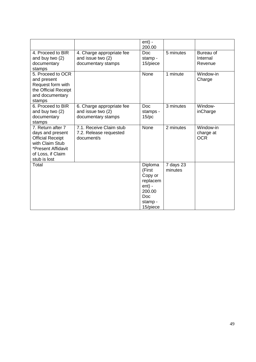|                                                                                                                                                |                                                                      | $ent$ ) -<br>200.00                                                                                  |                      |                                      |
|------------------------------------------------------------------------------------------------------------------------------------------------|----------------------------------------------------------------------|------------------------------------------------------------------------------------------------------|----------------------|--------------------------------------|
| 4. Proceed to BIR<br>and buy two (2)<br>documentary<br>stamps                                                                                  | 4. Charge appropriate fee<br>and issue two (2)<br>documentary stamps | Doc.<br>stamp -<br>15/piece                                                                          | 5 minutes            | Bureau of<br>Internal<br>Revenue     |
| 5. Proceed to OCR<br>and present<br>Request form with<br>the Official Receipt<br>and documentary<br>stamps                                     |                                                                      | <b>None</b>                                                                                          | 1 minute             | Window-in<br>Charge                  |
| 6. Proceed to BIR<br>and buy two (2)<br>documentary<br>stamps                                                                                  | 6. Charge appropriate fee<br>and issue two (2)<br>documentary stamps | Doc.<br>stamps -<br>$15$ /pc                                                                         | 3 minutes            | Window-<br>inCharge                  |
| 7. Return after 7<br>days and present<br><b>Official Receipt</b><br>with Claim Stub<br>*Present Affidavit<br>of Loss, if Claim<br>stub is lost | 7.1. Receive Claim stub<br>7.2. Release requested<br>document/s      | None                                                                                                 | 2 minutes            | Window-in<br>charge at<br><b>OCR</b> |
| Total                                                                                                                                          |                                                                      | Diploma<br>(First<br>Copy or<br>replacem<br>$ent$ ) -<br>200.00<br><b>Doc</b><br>stamp -<br>15/piece | 7 days 23<br>minutes |                                      |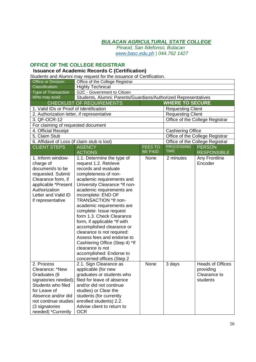*Pinaod, San Ildefonso, Bulacan www.basc.edu.ph | 044.762 1427*

#### **OFFICE OF THE COLLEGE REGISTRAR**

# **Issuance of Academic Records C (Certification)**

Students and Alumni may request for the issuance of Certification.

| Office or Division:                          | Office of the College Registrar                                                     |                |                          |                                 |  |
|----------------------------------------------|-------------------------------------------------------------------------------------|----------------|--------------------------|---------------------------------|--|
| Classification:                              | <b>Highly Technical</b>                                                             |                |                          |                                 |  |
| <b>Type of Transaction</b>                   | G2C - Government to Citizen                                                         |                |                          |                                 |  |
| Who may avail:                               | Students, Alumni; Parents/Guardians/Authorized Representatives                      |                |                          |                                 |  |
|                                              | <b>CHECKLIST OF REQUIREMENTS</b>                                                    |                | <b>WHERE TO SECURE</b>   |                                 |  |
| 1. Valid IDs or Proof of Identification      |                                                                                     |                | <b>Requesting Client</b> |                                 |  |
| 2. Authorization letter, if representative   |                                                                                     |                | <b>Requesting Client</b> |                                 |  |
| 3. QF-OCR-12                                 |                                                                                     |                |                          | Office of the College Registrar |  |
| For claiming of requested document           |                                                                                     |                |                          |                                 |  |
| 4. Official Receipt                          |                                                                                     |                | <b>Cashiering Office</b> |                                 |  |
| 5. Claim Stub                                |                                                                                     |                |                          | Office of the College Registrar |  |
| 6. Affidavit of Loss (if claim stub is lost) |                                                                                     |                |                          | Office of the College Registrar |  |
| <b>CLIENT STEPS</b>                          | <b>AGENCY</b>                                                                       | <b>FEES TO</b> | <b>PROCESSING</b>        | <b>PERSON</b>                   |  |
|                                              | <b>ACTIONS</b>                                                                      | <b>BE PAID</b> | <b>TIME</b>              | <b>RESPONSIBLE</b>              |  |
| 1. Inform window-                            | 1.1. Determine the type of                                                          | None           | 2 minutes                | Any Frontline                   |  |
| charge of                                    | request 1.2. Retrieve                                                               |                |                          | Encoder                         |  |
| document/s to be                             | records and evaluate                                                                |                |                          |                                 |  |
| requested. Submit                            | completeness of non-                                                                |                |                          |                                 |  |
| Clearance form, if                           | academic requirements and                                                           |                |                          |                                 |  |
| applicable *Present                          | University Clearance *If non-                                                       |                |                          |                                 |  |
| Authorization                                | academic requirements are                                                           |                |                          |                                 |  |
| Letter and Valid ID                          | incomplete: END OF                                                                  |                |                          |                                 |  |
| if representative                            | TRANSACTION *If non-                                                                |                |                          |                                 |  |
|                                              | academic requirements are                                                           |                |                          |                                 |  |
|                                              | complete: Issue request                                                             |                |                          |                                 |  |
|                                              | form 1.3. Check Clearance                                                           |                |                          |                                 |  |
|                                              | form, if applicable *If with                                                        |                |                          |                                 |  |
|                                              | accomplished clearance or                                                           |                |                          |                                 |  |
|                                              | clearance is not required:<br>Assess fees and endorse to                            |                |                          |                                 |  |
|                                              |                                                                                     |                |                          |                                 |  |
|                                              | Cashiering Office (Step 4) *If<br>clearance is not                                  |                |                          |                                 |  |
|                                              |                                                                                     |                |                          |                                 |  |
|                                              | accomplished: Endorse to<br>concerned offices (Step 2)                              |                |                          |                                 |  |
| 2. Process                                   | 2.1. Sign Clearance as                                                              | None           | 3 days                   | <b>Heads of Offices</b>         |  |
| Clearance: *New                              | applicable (for new                                                                 |                |                          | providing                       |  |
| Graduates (6                                 |                                                                                     |                |                          |                                 |  |
| signatories needed);                         | graduates or students who<br>Clearance to<br>filed for leave of absence<br>students |                |                          |                                 |  |
| Students who filed                           | and/or did not continue                                                             |                |                          |                                 |  |
| for Leave of                                 | studies) or Clear the                                                               |                |                          |                                 |  |
| Absence and/or did                           | students (for currently                                                             |                |                          |                                 |  |
| not continue studies                         | enrolled students) 2.2.                                                             |                |                          |                                 |  |
| (3 signatories                               | Advise client to return to                                                          |                |                          |                                 |  |
| needed) *Currently                           | <b>OCR</b>                                                                          |                |                          |                                 |  |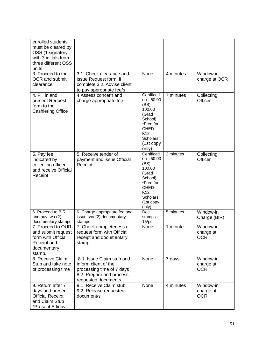| enrolled students        |                               |                      |           |               |
|--------------------------|-------------------------------|----------------------|-----------|---------------|
|                          |                               |                      |           |               |
| must be cleared by       |                               |                      |           |               |
| OSS (1 signatory         |                               |                      |           |               |
| with 3 initials from     |                               |                      |           |               |
| three different OSS      |                               |                      |           |               |
| units                    |                               |                      |           |               |
| 3. Proceed to the        | 3.1. Check clearance and      | None                 | 4 minutes | Window-in     |
| OCR and submit           | issue Request form, if        |                      |           | charge at OCR |
| clearance                | complete 3.2. Advise client   |                      |           |               |
|                          | to pay appropriate fee/s      |                      |           |               |
| 4. Fill in and           | 4. Assess concern and         | Certificati          | 7 minutes | Collecting    |
| present Request          | charge appropriate fee        | on - 50.00           |           | Officer       |
| form to the              |                               | (BS)                 |           |               |
| <b>Cashiering Office</b> |                               | 100.00               |           |               |
|                          |                               | (Grad<br>School)     |           |               |
|                          |                               | *Free for            |           |               |
|                          |                               | CHED-                |           |               |
|                          |                               | K12                  |           |               |
|                          |                               | Scholars             |           |               |
|                          |                               | (1st copy            |           |               |
|                          |                               | only)                |           |               |
| 5. Pay fee               | 5. Receive tender of          | Certificati          | 2 minutes | Collecting    |
| indicated by             | payment and issue Official    | on - 50.00           |           | Officer       |
| collecting officer       | Receipt                       | (BS)                 |           |               |
| and receive Official     |                               | 100.00               |           |               |
| Receipt                  |                               | (Grad                |           |               |
|                          |                               | School)<br>*Free for |           |               |
|                          |                               | CHED-                |           |               |
|                          |                               | K <sub>12</sub>      |           |               |
|                          |                               | <b>Scholars</b>      |           |               |
|                          |                               | (1st copy            |           |               |
|                          |                               | only)                |           |               |
| 6. Proceed to BIR        | 6. Charge appropriate fee and | Doc                  | 5 minutes | Window-in     |
| and buy two (2)          | issue two (2) documentary     | stamps -             |           | Charge (BIR)  |
| documentary stamps       | stamps                        | $15$ /pc             |           |               |
| 7. Proceed to OUR        | 7. Check completeness of      | None                 | 1 minute  | Window-in     |
| and submit request       | request form with Official    |                      |           | charge at     |
| form with Official       | receipt and documentary       |                      |           | <b>OCR</b>    |
| Receipt and              | stamp                         |                      |           |               |
| documentary              |                               |                      |           |               |
| stamp.                   |                               |                      |           |               |
| 8. Receive Claim         | 8.1. Issue Claim stub and     | None                 | 7 days    | Window-in     |
| Stub and take note       | inform client of the          |                      |           | charge at     |
| of processing time       | processing time of 7 days     |                      |           | <b>OCR</b>    |
|                          | 8.2. Prepare and process      |                      |           |               |
|                          | requested documents           |                      |           |               |
| 9. Return after 7        | 9.1. Receive Claim stub       | None                 | 4 minutes | Window-in     |
| days and present         | 9.2. Release requested        |                      |           | charge at     |
| <b>Official Receipt</b>  | document/s                    |                      |           | <b>OCR</b>    |
| and Claim Stub           |                               |                      |           |               |
| *Present Affidavit       |                               |                      |           |               |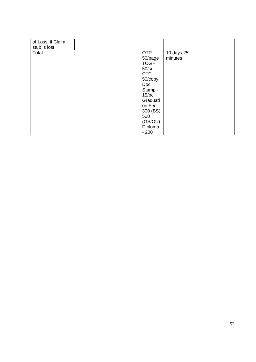| of Loss, if Claim<br>stub is lost |            |            |  |
|-----------------------------------|------------|------------|--|
|                                   |            |            |  |
| Total                             | OTR-       | 10 days 25 |  |
|                                   | 50/page    | minutes    |  |
|                                   | TCG-       |            |  |
|                                   | 50/set     |            |  |
|                                   | CTC -      |            |  |
|                                   | 50/copy    |            |  |
|                                   | <b>Doc</b> |            |  |
|                                   | Stamp -    |            |  |
|                                   | $15$ /pc   |            |  |
|                                   | Graduati   |            |  |
|                                   | on Fee -   |            |  |
|                                   | 300 (BS)   |            |  |
|                                   | 500        |            |  |
|                                   | (GS/OU)    |            |  |
|                                   | Diploma    |            |  |
|                                   | $-200$     |            |  |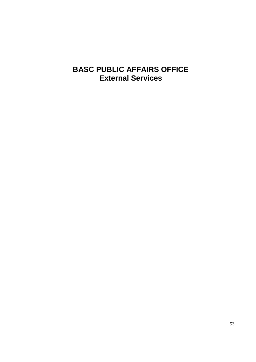# **BASC PUBLIC AFFAIRS OFFICE External Services**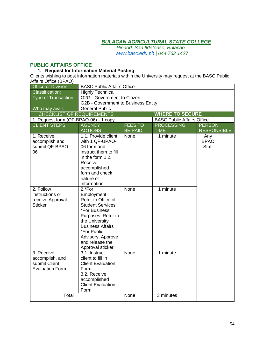*Pinaod, San Ildefonso, Bulacan www.basc.edu.ph | 044.762 1427*

# **PUBLIC AFFAIRS OFFICE**

#### **1. Request for Information Material Posting**

Clients wishing to post information materials within the University may request at the BASC Public Affairs Office (BPAO)

| Office or Division:                                                       | <b>BASC Public Affairs Office</b>                                                                                                                                                                                                     |                             |                                   |                             |  |
|---------------------------------------------------------------------------|---------------------------------------------------------------------------------------------------------------------------------------------------------------------------------------------------------------------------------------|-----------------------------|-----------------------------------|-----------------------------|--|
| <b>Classification:</b>                                                    | <b>Highly Technical</b>                                                                                                                                                                                                               |                             |                                   |                             |  |
| <b>Type of Transaction</b>                                                |                                                                                                                                                                                                                                       | G2G - Government to Citizen |                                   |                             |  |
|                                                                           | G2B - Government to Business Entity                                                                                                                                                                                                   |                             |                                   |                             |  |
| Who may avail:                                                            | General Public                                                                                                                                                                                                                        |                             |                                   |                             |  |
| <b>CHECKLIST OF REQUIREMENTS</b>                                          | <b>WHERE TO SECURE</b>                                                                                                                                                                                                                |                             |                                   |                             |  |
| 1. Request form (QF-BPAO-06) - 1 copy                                     |                                                                                                                                                                                                                                       |                             | <b>BASC Public Affairs Office</b> |                             |  |
| <b>CLIENT STEPS</b>                                                       | <b>AGENCY</b>                                                                                                                                                                                                                         | <b>FEES TO</b>              | <b>PROCESSING</b>                 | <b>PERSON</b>               |  |
|                                                                           | <b>ACTIONS</b>                                                                                                                                                                                                                        | <b>BE PAID</b>              | <b>TIME</b>                       | <b>RESPONSIBLE</b>          |  |
| 1. Receive,<br>accomplish and<br>submit QF-BPAO-<br>06                    | 1.1. Provide client<br>with 1 QF-UPAO-<br>06 form and<br>instruct them to fill<br>in the form 1.2.<br>Receive<br>accomplished<br>form and check<br>nature of<br>information                                                           | None                        | 1 minute                          | Any<br><b>BPAO</b><br>Staff |  |
| 2. Follow<br>instructions or<br>receive Approval<br><b>Sticker</b>        | 2.*For<br>Employment:<br>Refer to Office of<br><b>Student Services</b><br>*For Business<br>Purposes: Refer to<br>the University<br><b>Business Affairs</b><br>*For Public<br>Advisory: Approve<br>and release the<br>Approval sticker | None                        | 1 minute                          |                             |  |
| 3. Receive,<br>accomplish, and<br>submit Client<br><b>Evaluation Form</b> | 3.1. Instruct<br>client to fill in<br><b>Client Evaluation</b><br>Form<br>3.2. Receive<br>accomplished<br><b>Client Evaluation</b><br>Form                                                                                            | None                        | 1 minute                          |                             |  |
| Total                                                                     |                                                                                                                                                                                                                                       | None                        | 3 minutes                         |                             |  |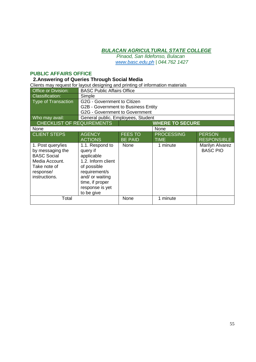*Pinaod, San Ildefonso, Bulacan www.basc.edu.ph | 044.762 1427*

#### **PUBLIC AFFAIRS OFFICE**

#### **2.Answering of Queries Through Social Media**

Clients may request for layout designing and printing of information materials

| <b>Office or Division:</b>                                                                                                  | <b>BASC Public Affairs Office</b>                                                                                                                                      |                |                        |                                    |
|-----------------------------------------------------------------------------------------------------------------------------|------------------------------------------------------------------------------------------------------------------------------------------------------------------------|----------------|------------------------|------------------------------------|
| <b>Classification:</b>                                                                                                      | Simple                                                                                                                                                                 |                |                        |                                    |
| <b>Type of Transaction</b>                                                                                                  | G2G - Government to Citizen                                                                                                                                            |                |                        |                                    |
|                                                                                                                             | G2B - Government to Business Entity                                                                                                                                    |                |                        |                                    |
|                                                                                                                             | <b>G2G - Government to Government</b>                                                                                                                                  |                |                        |                                    |
| Who may avail:                                                                                                              | General public, Employees, Student                                                                                                                                     |                |                        |                                    |
| <b>CHECKLIST OF REQUIREMENTS</b>                                                                                            |                                                                                                                                                                        |                | <b>WHERE TO SECURE</b> |                                    |
| None                                                                                                                        |                                                                                                                                                                        |                | None                   |                                    |
| <b>CLIENT STEPS</b>                                                                                                         | <b>AGENCY</b>                                                                                                                                                          | <b>FEES TO</b> | <b>PROCESSING</b>      | <b>PERSON</b>                      |
|                                                                                                                             | <b>ACTIONS</b>                                                                                                                                                         | <b>BE PAID</b> | <b>TIME</b>            | <b>RESPONSIBLE</b>                 |
| 1. Post query/ies<br>by messaging the<br><b>BASC Social</b><br>Media Account.<br>Take note of<br>response/<br>instructions. | 1.1. Respond to<br>query if<br>applicable<br>1.2. Inform client<br>of possible<br>requirement/s<br>and/ or waiting<br>time, if proper<br>response is yet<br>to be give | None           | 1 minute               | Marilyn Alvarez<br><b>BASC PIO</b> |
| Total                                                                                                                       |                                                                                                                                                                        | None           | 1 minute               |                                    |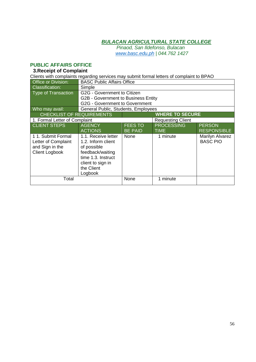*Pinaod, San Ildefonso, Bulacan www.basc.edu.ph | 044.762 1427*

# **PUBLIC AFFAIRS OFFICE**

# **3.Receipt of Complaint**

Clients with complaints regarding services may submit formal letters of complaint to BPAO

| <b>Office or Division:</b>       | <b>BASC Public Affairs Office</b>     |                |                          |                    |  |
|----------------------------------|---------------------------------------|----------------|--------------------------|--------------------|--|
| <b>Classification:</b>           | Simple                                |                |                          |                    |  |
| Type of Transaction              | G2G - Government to Citizen           |                |                          |                    |  |
|                                  | G2B - Government to Business Entity   |                |                          |                    |  |
|                                  | <b>G2G - Government to Government</b> |                |                          |                    |  |
| Who may avail:                   | General Public, Students, Employees   |                |                          |                    |  |
| <b>CHECKLIST OF REQUIREMENTS</b> |                                       |                | <b>WHERE TO SECURE</b>   |                    |  |
| 1. Formal Letter of Complaint    |                                       |                | <b>Requesting Client</b> |                    |  |
| <b>CLIENT STEPS</b>              | <b>AGENCY</b>                         | <b>FEES TO</b> | <b>PROCESSING</b>        | <b>PERSON</b>      |  |
|                                  | <b>ACTIONS</b>                        | <b>BE PAID</b> | <b>TIME</b>              | <b>RESPONSIBLE</b> |  |
| 11. Submit Formal                | 1.1. Receive letter                   | None           | 1 minute                 | Marilyn Alvarez    |  |
| Letter of Complaint              | 1.2. Inform client                    |                |                          | <b>BASC PIO</b>    |  |
| and Sign in the                  | of possible                           |                |                          |                    |  |
| <b>Client Logbook</b>            | feedback/waiting                      |                |                          |                    |  |
|                                  | time 1.3. Instruct                    |                |                          |                    |  |
|                                  | client to sign in                     |                |                          |                    |  |
|                                  | the Client                            |                |                          |                    |  |
|                                  | Logbook                               |                |                          |                    |  |
| Total                            |                                       | None           | 1 minute                 |                    |  |
|                                  |                                       |                |                          |                    |  |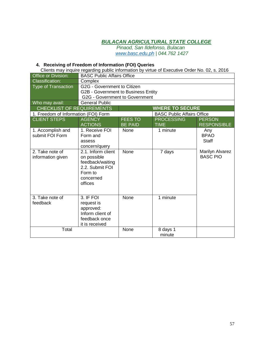*Pinaod, San Ildefonso, Bulacan www.basc.edu.ph | 044.762 1427*

#### **4. Receiving of Freedom of Information (FOI) Queries**

Clients may inquire regarding public information by virtue of Executive Order No. 02, s. 2016

| Office or Division:                  | <b>BASC Public Affairs Office</b>   |                |                                   |                    |
|--------------------------------------|-------------------------------------|----------------|-----------------------------------|--------------------|
| <b>Classification:</b>               | Complex                             |                |                                   |                    |
| <b>Type of Transaction</b>           | G2G - Government to Citizen         |                |                                   |                    |
|                                      | G2B - Government to Business Entity |                |                                   |                    |
|                                      | G2G - Government to Government      |                |                                   |                    |
| Who may avail:                       | <b>General Public</b>               |                |                                   |                    |
| <b>CHECKLIST OF REQUIREMENTS</b>     |                                     |                | <b>WHERE TO SECURE</b>            |                    |
| 1. Freedom of Information (FOI) Form |                                     |                | <b>BASC Public Affairs Office</b> |                    |
| <b>CLIENT STEPS</b>                  | <b>AGENCY</b>                       | <b>FEES TO</b> | <b>PROCESSING</b>                 | <b>PERSON</b>      |
|                                      | <b>ACTIONS</b>                      | <b>BE PAID</b> | <b>TIME</b>                       | <b>RESPONSIBLE</b> |
| 1. Accomplish and                    | 1. Receive FOI                      | None           | 1 minute                          | Any                |
| submit FOI Form                      | Form and                            |                |                                   | <b>BPAO</b>        |
|                                      | assess                              |                |                                   | <b>Staff</b>       |
|                                      | concern/query                       |                |                                   |                    |
| 2. Take note of                      | 2.1. Inform client                  | None           | 7 days                            | Marilyn Alvarez    |
| information given                    | on possible                         |                |                                   | <b>BASC PIO</b>    |
|                                      | feedback/waiting                    |                |                                   |                    |
|                                      | 2.2. Submit FOI                     |                |                                   |                    |
|                                      | Form to                             |                |                                   |                    |
|                                      | concerned                           |                |                                   |                    |
|                                      | offices                             |                |                                   |                    |
|                                      |                                     |                |                                   |                    |
| 3. Take note of                      | 3. IF FOI                           | <b>None</b>    | 1 minute                          |                    |
| feedback                             | request is                          |                |                                   |                    |
|                                      | approved:                           |                |                                   |                    |
|                                      | Inform client of                    |                |                                   |                    |
|                                      | feedback once                       |                |                                   |                    |
|                                      | it is received                      |                |                                   |                    |
| Total                                |                                     | None           | 8 days 1                          |                    |
|                                      |                                     |                | minute                            |                    |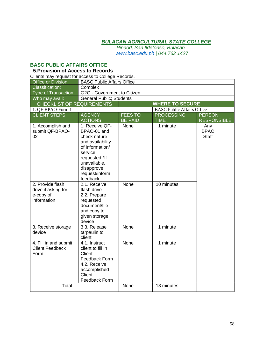*Pinaod, San Ildefonso, Bulacan www.basc.edu.ph | 044.762 1427*

#### **BASC PUBLIC AFFAIRS OFFICE**

# **5.Provision of Access to Records**

| Clients may request for access to College Records.                  |                                                                                                                                                                              |                |                                   |                                    |
|---------------------------------------------------------------------|------------------------------------------------------------------------------------------------------------------------------------------------------------------------------|----------------|-----------------------------------|------------------------------------|
| Office or Division:                                                 | <b>BASC Public Affairs Office</b>                                                                                                                                            |                |                                   |                                    |
| <b>Classification:</b>                                              | Complex                                                                                                                                                                      |                |                                   |                                    |
| <b>Type of Transaction</b>                                          | G2G - Government to Citizen                                                                                                                                                  |                |                                   |                                    |
| Who may avail:                                                      | <b>General Public; Students</b>                                                                                                                                              |                |                                   |                                    |
| <b>CHECKLIST OF REQUIREMENTS</b>                                    |                                                                                                                                                                              |                | <b>WHERE TO SECURE</b>            |                                    |
| 1. QF-BPAO-Form 1                                                   |                                                                                                                                                                              |                | <b>BASC Public Affairs Office</b> |                                    |
| <b>CLIENT STEPS</b>                                                 | <b>AGENCY</b>                                                                                                                                                                | <b>FEES TO</b> | <b>PROCESSING</b>                 | <b>PERSON</b>                      |
|                                                                     | <b>ACTIONS</b>                                                                                                                                                               | <b>BE PAID</b> | <b>TIME</b>                       | <b>RESPONSIBLE</b>                 |
| 1. Accomplish and<br>submit QF-BPAO-<br>02                          | 1. Receive QF-<br>BPAO-01 and<br>check nature<br>and availability<br>of information/<br>service<br>requested *If<br>unavailable,<br>disapprove<br>request/inform<br>feedback | None           | 1 minute                          | Any<br><b>BPAO</b><br><b>Staff</b> |
| 2. Provide flash<br>drive if asking for<br>e-copy of<br>information | 2.1. Receive<br>flash drive<br>2.2. Prepare<br>requested<br>document/file<br>and copy to<br>given storage<br>device                                                          | None           | 10 minutes                        |                                    |
| 3. Receive storage<br>device                                        | 3 3. Release<br>tarpaulin to<br>client                                                                                                                                       | <b>None</b>    | 1 minute                          |                                    |
| 4. Fill in and submit<br><b>Client Feedback</b><br>Form             | 4.1. Instruct<br>client to fill in<br>Client<br>Feedback Form<br>4.2. Receive<br>accomplished<br>Client<br>Feedback Form                                                     | <b>None</b>    | 1 minute                          |                                    |
| Total                                                               |                                                                                                                                                                              | None           | 13 minutes                        |                                    |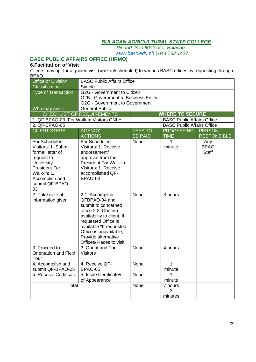*Pinaod, San Ildefonso, Bulacan www.basc.edu.ph | 044.762 1427*

# **BASC PUBLIC AFFAIRS OFFICE (HRMO)**

# **6.Facilitation of Visit**

Clients may opt for a guided visit (walk-in/scheduled) to various BASC offices by requesting through BPAO.

| Office or Division:                      |                                       | <b>BASC Public Affairs Office</b> |                                   |                    |  |
|------------------------------------------|---------------------------------------|-----------------------------------|-----------------------------------|--------------------|--|
| <b>Classification:</b>                   | Simple                                |                                   |                                   |                    |  |
| <b>Type of Transaction</b>               |                                       | G2G - Government to Citizen       |                                   |                    |  |
|                                          | G2B - Government to Business Entity   |                                   |                                   |                    |  |
|                                          | <b>G2G - Government to Government</b> |                                   |                                   |                    |  |
| Who may avail:                           | <b>General Public</b>                 |                                   |                                   |                    |  |
|                                          | CHECKLIST OF REQUIREMENTS             |                                   | <b>WHERE TO SECURE</b>            |                    |  |
| 1. QF-BPAO-03 (For Walk-in Visitors ONLY |                                       |                                   | <b>BASC Public Affairs Office</b> |                    |  |
| 2. QF-BPAO-05                            |                                       |                                   | <b>BASC Public Affairs Office</b> |                    |  |
| <b>CLIENT STEPS</b>                      | <b>AGENCY</b>                         | <b>FEES TO</b>                    | <b>PROCESSING</b>                 | <b>PERSON</b>      |  |
|                                          | <b>ACTIONS</b>                        | <b>BE PAID</b>                    | <b>TIME</b>                       | <b>RESPONSIBLE</b> |  |
| For Scheduled                            | For Scheduled                         | None                              | 1                                 | Any                |  |
| Visitors: 1. Submit                      | Visitors: 1. Receive                  |                                   | minute                            | <b>BPAO</b>        |  |
| formal letter of                         | endorsement/                          |                                   |                                   | <b>Staff</b>       |  |
| request to                               | approval from the                     |                                   |                                   |                    |  |
| University                               | <b>President For Walk-in</b>          |                                   |                                   |                    |  |
| <b>President For</b>                     | Visitors: 1. Receive                  |                                   |                                   |                    |  |
| Walk-in: 1.                              | accomplished QF-                      |                                   |                                   |                    |  |
| Accomplish and                           | BPAO-03                               |                                   |                                   |                    |  |
| submit QF-BPAO-                          |                                       |                                   |                                   |                    |  |
| 03                                       |                                       |                                   |                                   |                    |  |
| 2. Take note of                          | 2.1. Accomplish                       | None                              | 3 hours                           |                    |  |
| information given                        | QFBPAO-04 and                         |                                   |                                   |                    |  |
|                                          | submit to concerned                   |                                   |                                   |                    |  |
|                                          | office 2.2. Confirm                   |                                   |                                   |                    |  |
|                                          | availability to client, If            |                                   |                                   |                    |  |
|                                          | requested Office is                   |                                   |                                   |                    |  |
|                                          | available *If requested               |                                   |                                   |                    |  |
|                                          | Office is unavailable,                |                                   |                                   |                    |  |
|                                          | Provide alternative                   |                                   |                                   |                    |  |
|                                          | Offices/Places to visit               |                                   |                                   |                    |  |
| 3. Proceed to                            | 3. Orient and Tour                    | None                              | 4 hours                           |                    |  |
| <b>Orientation and Field</b>             | <b>Visitors</b>                       |                                   |                                   |                    |  |
| Tour                                     |                                       |                                   |                                   |                    |  |
| 4. Accomplish and                        | 4. Receive QF-                        | None                              | 1                                 |                    |  |
| submit QF-BPAO-05                        | BPAO-05                               |                                   | minute                            |                    |  |
| 5. Receive Certificate                   | 5. Issue Certificate/s                | <b>None</b>                       | 1                                 |                    |  |
|                                          | of Appearance                         |                                   | minute                            |                    |  |
| Total                                    |                                       | None                              | 7 hours                           |                    |  |
|                                          |                                       |                                   | 3                                 |                    |  |
|                                          |                                       |                                   | minutes                           |                    |  |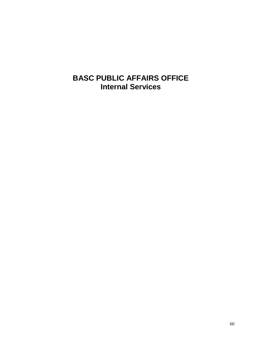# **BASC PUBLIC AFFAIRS OFFICE Internal Services**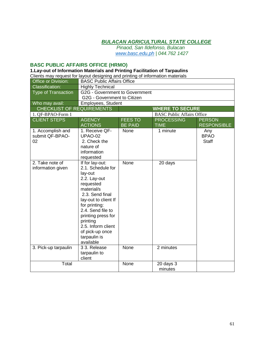*Pinaod, San Ildefonso, Bulacan www.basc.edu.ph | 044.762 1427*

# **BASC PUBLIC AFFAIRS OFFICE (HRMO)**

### **1.Lay-out of Information Materials and Printing Facilitation of Tarpaulins**

Clients may request for layout designing and printing of information materials

| Office or Division:                        | <b>BASC Public Affairs Office</b>                                                                                                                                                                                                                                                   |                |                                   |                                    |
|--------------------------------------------|-------------------------------------------------------------------------------------------------------------------------------------------------------------------------------------------------------------------------------------------------------------------------------------|----------------|-----------------------------------|------------------------------------|
| <b>Classification:</b>                     | <b>Highly Technical</b>                                                                                                                                                                                                                                                             |                |                                   |                                    |
| <b>Type of Transaction</b>                 | G2G - Government to Government<br>G2G - Government to Citizen                                                                                                                                                                                                                       |                |                                   |                                    |
| Who may avail:                             | Employees, Student                                                                                                                                                                                                                                                                  |                |                                   |                                    |
| <b>CHECKLIST OF REQUIREMENTS</b>           |                                                                                                                                                                                                                                                                                     |                | <b>WHERE TO SECURE</b>            |                                    |
| 1. QF-BPAO-Form 1                          |                                                                                                                                                                                                                                                                                     |                | <b>BASC Public Affairs Office</b> |                                    |
| <b>CLIENT STEPS</b>                        | <b>AGENCY</b>                                                                                                                                                                                                                                                                       | <b>FEES TO</b> | <b>PROCESSING</b>                 | <b>PERSON</b>                      |
|                                            | <b>ACTIONS</b>                                                                                                                                                                                                                                                                      | <b>BE PAID</b> | <b>TIME</b>                       | <b>RESPONSIBLE</b>                 |
| 1. Accomplish and<br>submit QF-BPAO-<br>02 | 1. Receive QF-<br><b>UPAO-02</b><br>2. Check the<br>nature of<br>information<br>requested                                                                                                                                                                                           | None           | 1 minute                          | Any<br><b>BPAO</b><br><b>Staff</b> |
| 2. Take note of<br>information given       | If for lay-out:<br>2.1. Schedule for<br>lay-out<br>2.2. Lay-out<br>requested<br>material/s<br>2.3. Send final<br>lay-out to client If<br>for printing:<br>2.4. Send file to<br>printing press for<br>printing<br>2.5. Inform client<br>of pick-up once<br>tarpaulin is<br>available | None           | 20 days                           |                                    |
| 3. Pick-up tarpaulin                       | $33.$ Release<br>tarpaulin to<br>client                                                                                                                                                                                                                                             | None           | 2 minutes                         |                                    |
| Total                                      |                                                                                                                                                                                                                                                                                     | None           | $\overline{2}0$ days 3<br>minutes |                                    |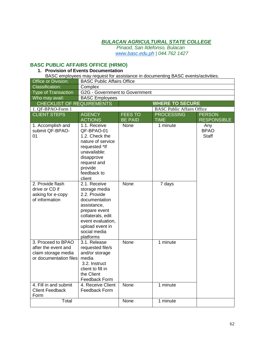*Pinaod, San Ildefonso, Bulacan www.basc.edu.ph | 044.762 1427*

# **BASC PUBLIC AFFAIRS OFFICE (HRMO)**

#### **1. Provision of Events Documentation**

BASC employees may request for assistance in documenting BASC events/activities.

| Office or Division:              | <b>BASC Public Affairs Office</b>      |                |                                   |                    |
|----------------------------------|----------------------------------------|----------------|-----------------------------------|--------------------|
| <b>Classification:</b>           | Complex                                |                |                                   |                    |
| <b>Type of Transaction</b>       | G2G - Government to Government         |                |                                   |                    |
| Who may avail:                   | <b>BASC Employees</b>                  |                |                                   |                    |
| <b>CHECKLIST OF REQUIREMENTS</b> |                                        |                | <b>WHERE TO SECURE</b>            |                    |
| 1. QF-BPAO-Form 1                |                                        |                | <b>BASC Public Affairs Office</b> |                    |
| <b>CLIENT STEPS</b>              | <b>AGENCY</b>                          | <b>FEES TO</b> | <b>PROCESSING</b>                 | <b>PERSON</b>      |
|                                  | <b>ACTIONS</b>                         | <b>BE PAID</b> | <b>TIME</b>                       | <b>RESPONSIBLE</b> |
| 1. Accomplish and                | 1.1. Receive                           | None           | 1 minute                          | Any                |
| submit QF-BPAO-                  | QF-BPAO-01                             |                |                                   | <b>BPAO</b>        |
| 01                               | 1.2. Check the                         |                |                                   | Staff              |
|                                  | nature of service                      |                |                                   |                    |
|                                  | requested *If<br>unavailable:          |                |                                   |                    |
|                                  | disapprove                             |                |                                   |                    |
|                                  | request and                            |                |                                   |                    |
|                                  | provide                                |                |                                   |                    |
|                                  | feedback to                            |                |                                   |                    |
|                                  | client                                 |                |                                   |                    |
| 2. Provide flash                 | 2.1. Receive                           | None           | 7 days                            |                    |
| drive or CD if                   | storage media                          |                |                                   |                    |
| asking for e-copy                | 2.2. Provide                           |                |                                   |                    |
| of information                   | documentation                          |                |                                   |                    |
|                                  | assistance,                            |                |                                   |                    |
|                                  | prepare event                          |                |                                   |                    |
|                                  | collaterals, edit<br>event evaluation, |                |                                   |                    |
|                                  | upload event in                        |                |                                   |                    |
|                                  | social media                           |                |                                   |                    |
|                                  | platforms                              |                |                                   |                    |
| 3. Proceed to BPAO               | 3.1. Release                           | None           | 1 minute                          |                    |
| after the event and              | requested file/s                       |                |                                   |                    |
| claim storage media              | and/or storage                         |                |                                   |                    |
| or documentation files           | media                                  |                |                                   |                    |
|                                  | 3.2. Instruct                          |                |                                   |                    |
|                                  | client to fill in                      |                |                                   |                    |
|                                  | the Client                             |                |                                   |                    |
|                                  | Feedback Form                          |                |                                   |                    |
| 4. Fill in and submit            | 4. Receive Client                      | None           | 1 minute                          |                    |
| <b>Client Feedback</b>           | Feedback Form                          |                |                                   |                    |
| Form<br>Total                    |                                        | None           | 1 minute                          |                    |
|                                  |                                        |                |                                   |                    |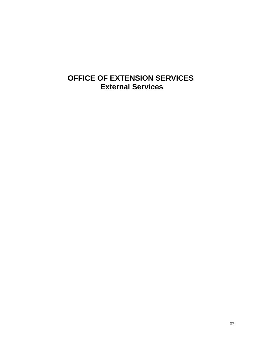# **OFFICE OF EXTENSION SERVICES External Services**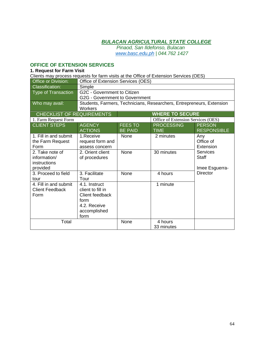*Pinaod, San Ildefonso, Bulacan www.basc.edu.ph | 044.762 1427*

### **OFFICE OF EXTENSION SERVICES**

#### **1. Request for Farm Visit**

| Clients may process requests for farm visits at the Office of Extension Services (OES) |                                       |                |                                                                       |                    |  |  |  |
|----------------------------------------------------------------------------------------|---------------------------------------|----------------|-----------------------------------------------------------------------|--------------------|--|--|--|
| Office or Division:                                                                    | Office of Extension Services (OES)    |                |                                                                       |                    |  |  |  |
| <b>Classification:</b>                                                                 | Simple                                |                |                                                                       |                    |  |  |  |
| <b>Type of Transaction</b>                                                             | G2C - Government to Citizen           |                |                                                                       |                    |  |  |  |
|                                                                                        | <b>G2G - Government to Government</b> |                |                                                                       |                    |  |  |  |
| Who may avail:                                                                         | Workers                               |                | Students, Farmers, Technicians, Researchers, Entrepreneurs, Extension |                    |  |  |  |
| <b>CHECKLIST OF REQUIREMENTS</b>                                                       |                                       |                | <b>WHERE TO SECURE</b>                                                |                    |  |  |  |
| 1. Farm Request Form                                                                   |                                       |                | Office of Extension Services (OES)                                    |                    |  |  |  |
| <b>CLIENT STEPS</b>                                                                    | <b>AGENCY</b>                         | <b>FEES TO</b> | <b>PROCESSING</b>                                                     | <b>PERSON</b>      |  |  |  |
|                                                                                        | <b>ACTIONS</b>                        | <b>BE PAID</b> | <b>TIME</b>                                                           | <b>RESPONSIBLE</b> |  |  |  |
| 1. Fill in and submit                                                                  | 1.Receive                             | None           | 2 minutes                                                             | Any                |  |  |  |
| the Farm Request                                                                       | request form and                      |                |                                                                       | Office of          |  |  |  |
| Form                                                                                   | assess concern                        |                |                                                                       | Extension          |  |  |  |
| 2. Take note of                                                                        | 2. Orient client                      | None           | 30 minutes                                                            | <b>Services</b>    |  |  |  |
| information/                                                                           | of procedures                         |                |                                                                       | <b>Staff</b>       |  |  |  |
| instructions                                                                           |                                       |                |                                                                       |                    |  |  |  |
| provided                                                                               |                                       |                |                                                                       | Imee Esguerra-     |  |  |  |
| 3. Proceed to field                                                                    | 3. Facilitate                         | None           | 4 hours                                                               | <b>Director</b>    |  |  |  |
| tour                                                                                   | Tour                                  |                |                                                                       |                    |  |  |  |
| 4. Fill in and submit                                                                  | 4.1. Instruct                         |                | 1 minute                                                              |                    |  |  |  |
| <b>Client Feedback</b>                                                                 | client to fill in                     |                |                                                                       |                    |  |  |  |
| Form                                                                                   | Client feedback                       |                |                                                                       |                    |  |  |  |
|                                                                                        | form                                  |                |                                                                       |                    |  |  |  |
|                                                                                        | 4.2. Receive                          |                |                                                                       |                    |  |  |  |
|                                                                                        | accomplished                          |                |                                                                       |                    |  |  |  |
|                                                                                        | form                                  |                |                                                                       |                    |  |  |  |
| Total                                                                                  |                                       | None           | 4 hours                                                               |                    |  |  |  |
|                                                                                        |                                       |                | 33 minutes                                                            |                    |  |  |  |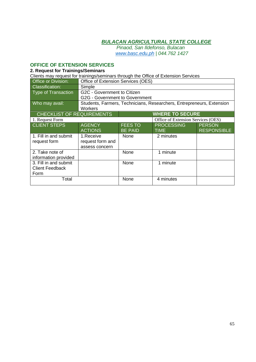*Pinaod, San Ildefonso, Bulacan www.basc.edu.ph | 044.762 1427*

# **OFFICE OF EXTENSION SERVICES**

#### **2. Request for Trainings/Seminars**

| Clients may request for trainings/seminars through the Office of Extension Services |                                                                                         |                        |                                    |                    |  |
|-------------------------------------------------------------------------------------|-----------------------------------------------------------------------------------------|------------------------|------------------------------------|--------------------|--|
| Office or Division:                                                                 | Office of Extension Services (OES)                                                      |                        |                                    |                    |  |
| <b>Classification:</b>                                                              | Simple                                                                                  |                        |                                    |                    |  |
| <b>Type of Transaction</b>                                                          | G2C - Government to Citizen                                                             |                        |                                    |                    |  |
|                                                                                     | G2G - Government to Government                                                          |                        |                                    |                    |  |
| Who may avail:                                                                      | Students, Farmers, Technicians, Researchers, Entrepreneurs, Extension<br><b>Workers</b> |                        |                                    |                    |  |
| <b>CHECKLIST OF REQUIREMENTS</b>                                                    |                                                                                         | <b>WHERE TO SECURE</b> |                                    |                    |  |
| 1. Request Form                                                                     |                                                                                         |                        | Office of Extension Services (OES) |                    |  |
| <b>CLIENT STEPS</b>                                                                 | <b>AGENCY</b>                                                                           | <b>FEES TO</b>         | <b>PROCESSING</b>                  | <b>PERSON</b>      |  |
|                                                                                     | <b>ACTIONS</b>                                                                          | <b>BE PAID</b>         | <b>TIME</b>                        | <b>RESPONSIBLE</b> |  |
| 1. Fill in and submit                                                               | 1.Receive                                                                               | None                   | 2 minutes                          |                    |  |
| request form                                                                        | request form and                                                                        |                        |                                    |                    |  |
|                                                                                     | assess concern                                                                          |                        |                                    |                    |  |
| 2. Take note of                                                                     |                                                                                         | None                   | 1 minute                           |                    |  |
| information provided                                                                |                                                                                         |                        |                                    |                    |  |
| 3. Fill in and submit                                                               |                                                                                         | None                   | 1 minute                           |                    |  |
| <b>Client Feedback</b>                                                              |                                                                                         |                        |                                    |                    |  |
| Form                                                                                |                                                                                         |                        |                                    |                    |  |
| Total                                                                               |                                                                                         | None                   | 4 minutes                          |                    |  |
|                                                                                     |                                                                                         |                        |                                    |                    |  |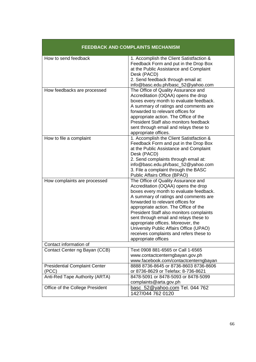| <b>FEEDBACK AND COMPLAINTS MECHANISM</b>      |                                                                                                                                                                                                                                                                                                                                                                                                                                                                                       |  |  |  |
|-----------------------------------------------|---------------------------------------------------------------------------------------------------------------------------------------------------------------------------------------------------------------------------------------------------------------------------------------------------------------------------------------------------------------------------------------------------------------------------------------------------------------------------------------|--|--|--|
| How to send feedback                          | 1. Accomplish the Client Satistfaction &<br>Feedback Form and put in the Drop Box<br>at the Public Assistance and Complaint<br>Desk (PACD)<br>2. Send feedback through email at:<br>info@basc.edu.ph/basc_52@yahoo.com                                                                                                                                                                                                                                                                |  |  |  |
| How feedbacks are processed                   | The Office of Quality Assurance and<br>Accreditation (OQAA) opens the drop<br>boxes every month to evaluate feedback.<br>A summary of ratings and comments are<br>forwarded to relevant offices for<br>appropriate action. The Office of the<br>President Staff also monitors feedback<br>sent through email and relays these to<br>appropriate offices.                                                                                                                              |  |  |  |
| How to file a complaint                       | 1. Accomplish the Client Satistfaction &<br>Feedback Form and put in the Drop Box<br>at the Public Assistance and Complaint<br>Desk (PACD)<br>2. Send complaints through email at:<br>info@basc.edu.ph/basc_52@yahoo.com<br>3. File a complaint through the BASC<br>Public Affairs Office (BPAO)                                                                                                                                                                                      |  |  |  |
| How complaints are processed                  | The Office of Quality Assurance and<br>Accreditation (OQAA) opens the drop<br>boxes every month to evaluate feedback.<br>A summary of ratings and comments are<br>forwarded to relevant offices for<br>appropriate action. The Office of the<br>President Staff also monitors complaints<br>sent through email and relays these to<br>appropriate offices. Moreover, the<br>University Public Affairs Office (UPAO)<br>receives complaints and refers these to<br>appropriate offices |  |  |  |
| Contact information of                        |                                                                                                                                                                                                                                                                                                                                                                                                                                                                                       |  |  |  |
| Contact Center ng Bayan (CCB)                 | Text 0908 881-6565 or Call 1-6565<br>www.contactcenterngbayan.gov.ph<br>www.facebook.com/contactcenterngbayan                                                                                                                                                                                                                                                                                                                                                                         |  |  |  |
| <b>Presidential Complaint Center</b><br>(PCC) | 8888 8736-8645 or 8736-8603 8736-8606<br>or 8736-8629 or Telefax: 8-736-8621                                                                                                                                                                                                                                                                                                                                                                                                          |  |  |  |
| Anti-Red Tape Authority (ARTA)                | 8478-5091 or 8478-5093 or 8478-5099<br>complaints@arta.gov.ph                                                                                                                                                                                                                                                                                                                                                                                                                         |  |  |  |
| Office of the College President               | basc_52@yahoo.com Tel. 044 762<br>1427/044 762 0120                                                                                                                                                                                                                                                                                                                                                                                                                                   |  |  |  |